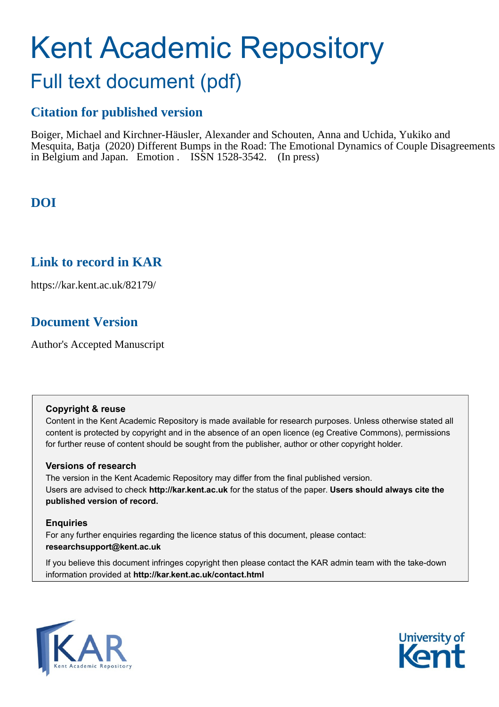# Kent Academic Repository

## Full text document (pdf)

## **Citation for published version**

Boiger, Michael and Kirchner-Häusler, Alexander and Schouten, Anna and Uchida, Yukiko and Mesquita, Batja (2020) Different Bumps in the Road: The Emotional Dynamics of Couple Disagreements in Belgium and Japan. Emotion . ISSN 1528-3542. (In press)

## **DOI**

## **Link to record in KAR**

https://kar.kent.ac.uk/82179/

## **Document Version**

Author's Accepted Manuscript

#### **Copyright & reuse**

Content in the Kent Academic Repository is made available for research purposes. Unless otherwise stated all content is protected by copyright and in the absence of an open licence (eg Creative Commons), permissions for further reuse of content should be sought from the publisher, author or other copyright holder.

#### **Versions of research**

The version in the Kent Academic Repository may differ from the final published version. Users are advised to check **http://kar.kent.ac.uk** for the status of the paper. **Users should always cite the published version of record.**

#### **Enquiries**

For any further enquiries regarding the licence status of this document, please contact: **researchsupport@kent.ac.uk**

If you believe this document infringes copyright then please contact the KAR admin team with the take-down information provided at **http://kar.kent.ac.uk/contact.html**



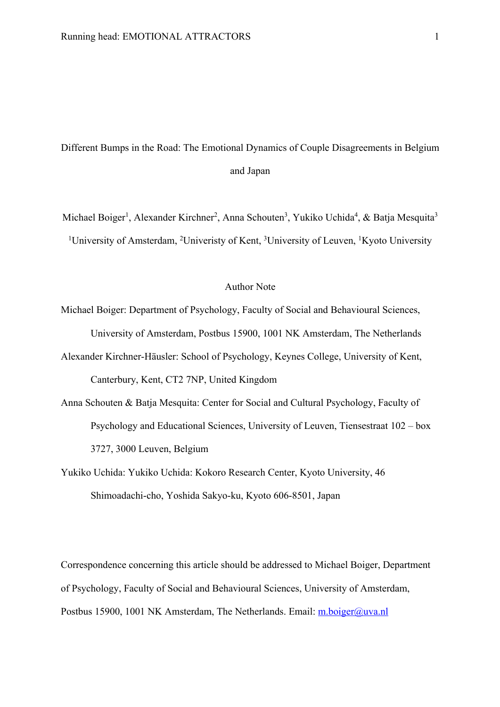Different Bumps in the Road: The Emotional Dynamics of Couple Disagreements in Belgium and Japan

Michael Boiger<sup>1</sup>, Alexander Kirchner<sup>2</sup>, Anna Schouten<sup>3</sup>, Yukiko Uchida<sup>4</sup>, & Batja Mesquita<sup>3</sup> <sup>1</sup>University of Amsterdam, <sup>2</sup>Univeristy of Kent, <sup>3</sup>University of Leuven, <sup>1</sup>Kyoto University

#### Author Note

Michael Boiger: Department of Psychology, Faculty of Social and Behavioural Sciences, University of Amsterdam, Postbus 15900, 1001 NK Amsterdam, The Netherlands

- Alexander Kirchner-Häusler: School of Psychology, Keynes College, University of Kent, Canterbury, Kent, CT2 7NP, United Kingdom
- Anna Schouten & Batja Mesquita: Center for Social and Cultural Psychology, Faculty of Psychology and Educational Sciences, University of Leuven, Tiensestraat 102 – box 3727, 3000 Leuven, Belgium
- Yukiko Uchida: Yukiko Uchida: Kokoro Research Center, Kyoto University, 46 Shimoadachi-cho, Yoshida Sakyo-ku, Kyoto 606-8501, Japan

Correspondence concerning this article should be addressed to Michael Boiger, Department of Psychology, Faculty of Social and Behavioural Sciences, University of Amsterdam, Postbus 15900, 1001 NK Amsterdam, The Netherlands. Email: m.boiger@uva.nl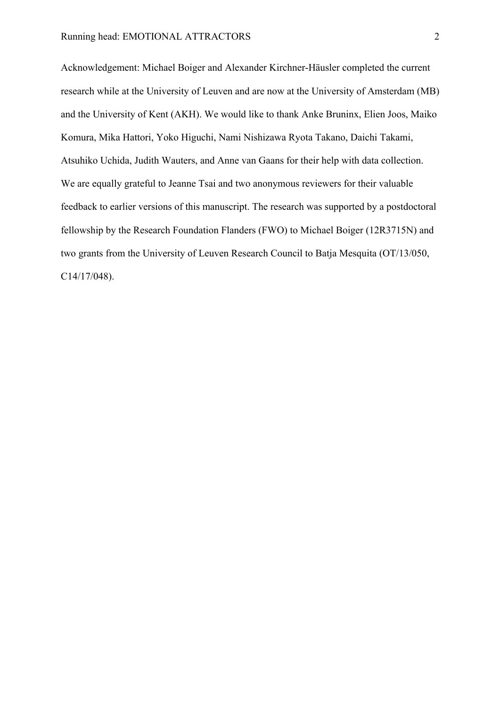Acknowledgement: Michael Boiger and Alexander Kirchner-Häusler completed the current research while at the University of Leuven and are now at the University of Amsterdam (MB) and the University of Kent (AKH). We would like to thank Anke Bruninx, Elien Joos, Maiko Komura, Mika Hattori, Yoko Higuchi, Nami Nishizawa Ryota Takano, Daichi Takami, Atsuhiko Uchida, Judith Wauters, and Anne van Gaans for their help with data collection. We are equally grateful to Jeanne Tsai and two anonymous reviewers for their valuable feedback to earlier versions of this manuscript. The research was supported by a postdoctoral fellowship by the Research Foundation Flanders (FWO) to Michael Boiger (12R3715N) and two grants from the University of Leuven Research Council to Batja Mesquita (OT/13/050, C14/17/048).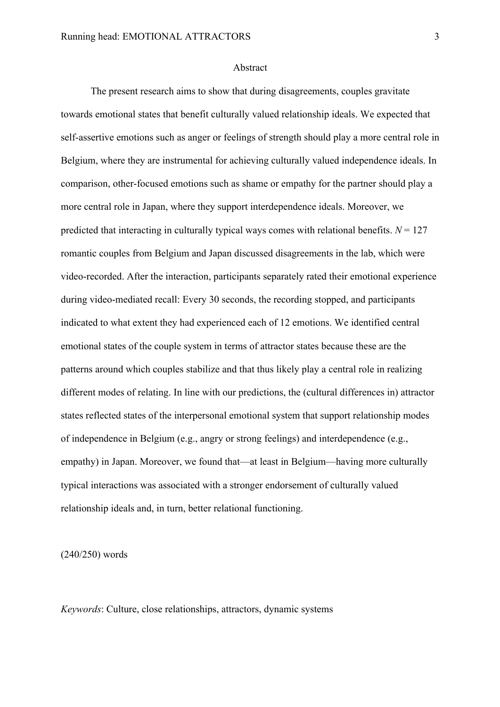#### Abstract

The present research aims to show that during disagreements, couples gravitate towards emotional states that benefit culturally valued relationship ideals. We expected that self-assertive emotions such as anger or feelings of strength should play a more central role in Belgium, where they are instrumental for achieving culturally valued independence ideals. In comparison, other-focused emotions such as shame or empathy for the partner should play a more central role in Japan, where they support interdependence ideals. Moreover, we predicted that interacting in culturally typical ways comes with relational benefits.  $N = 127$ romantic couples from Belgium and Japan discussed disagreements in the lab, which were video-recorded. After the interaction, participants separately rated their emotional experience during video-mediated recall: Every 30 seconds, the recording stopped, and participants indicated to what extent they had experienced each of 12 emotions. We identified central emotional states of the couple system in terms of attractor states because these are the patterns around which couples stabilize and that thus likely play a central role in realizing different modes of relating. In line with our predictions, the (cultural differences in) attractor states reflected states of the interpersonal emotional system that support relationship modes of independence in Belgium (e.g., angry or strong feelings) and interdependence (e.g., empathy) in Japan. Moreover, we found that—at least in Belgium—having more culturally typical interactions was associated with a stronger endorsement of culturally valued relationship ideals and, in turn, better relational functioning.

(240/250) words

*Keywords*: Culture, close relationships, attractors, dynamic systems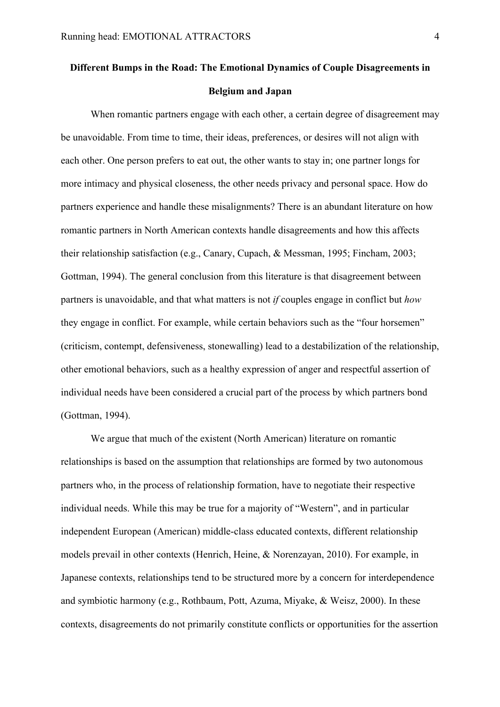## **Different Bumps in the Road: The Emotional Dynamics of Couple Disagreements in Belgium and Japan**

When romantic partners engage with each other, a certain degree of disagreement may be unavoidable. From time to time, their ideas, preferences, or desires will not align with each other. One person prefers to eat out, the other wants to stay in; one partner longs for more intimacy and physical closeness, the other needs privacy and personal space. How do partners experience and handle these misalignments? There is an abundant literature on how romantic partners in North American contexts handle disagreements and how this affects their relationship satisfaction (e.g., Canary, Cupach, & Messman, 1995; Fincham, 2003; Gottman, 1994). The general conclusion from this literature is that disagreement between partners is unavoidable, and that what matters is not *if* couples engage in conflict but *how* they engage in conflict. For example, while certain behaviors such as the "four horsemen" (criticism, contempt, defensiveness, stonewalling) lead to a destabilization of the relationship, other emotional behaviors, such as a healthy expression of anger and respectful assertion of individual needs have been considered a crucial part of the process by which partners bond (Gottman, 1994).

We argue that much of the existent (North American) literature on romantic relationships is based on the assumption that relationships are formed by two autonomous partners who, in the process of relationship formation, have to negotiate their respective individual needs. While this may be true for a majority of "Western", and in particular independent European (American) middle-class educated contexts, different relationship models prevail in other contexts (Henrich, Heine, & Norenzayan, 2010). For example, in Japanese contexts, relationships tend to be structured more by a concern for interdependence and symbiotic harmony (e.g., Rothbaum, Pott, Azuma, Miyake, & Weisz, 2000). In these contexts, disagreements do not primarily constitute conflicts or opportunities for the assertion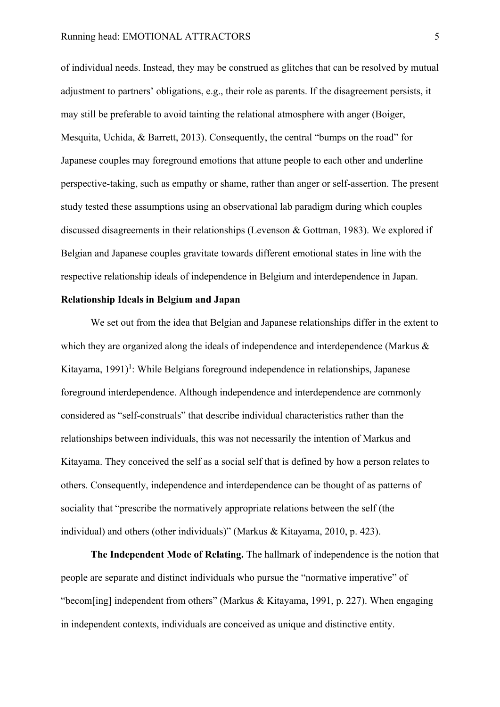of individual needs. Instead, they may be construed as glitches that can be resolved by mutual adjustment to partners' obligations, e.g., their role as parents. If the disagreement persists, it may still be preferable to avoid tainting the relational atmosphere with anger (Boiger, Mesquita, Uchida, & Barrett, 2013). Consequently, the central "bumps on the road" for Japanese couples may foreground emotions that attune people to each other and underline perspective-taking, such as empathy or shame, rather than anger or self-assertion. The present study tested these assumptions using an observational lab paradigm during which couples discussed disagreements in their relationships (Levenson & Gottman, 1983). We explored if Belgian and Japanese couples gravitate towards different emotional states in line with the respective relationship ideals of independence in Belgium and interdependence in Japan.

#### **Relationship Ideals in Belgium and Japan**

We set out from the idea that Belgian and Japanese relationships differ in the extent to which they are organized along the ideals of independence and interdependence (Markus  $\&$ Kitayama, 1991)<sup>1</sup>: While Belgians foreground independence in relationships, Japanese foreground interdependence. Although independence and interdependence are commonly considered as "self-construals" that describe individual characteristics rather than the relationships between individuals, this was not necessarily the intention of Markus and Kitayama. They conceived the self as a social self that is defined by how a person relates to others. Consequently, independence and interdependence can be thought of as patterns of sociality that "prescribe the normatively appropriate relations between the self (the individual) and others (other individuals)" (Markus & Kitayama, 2010, p. 423).

**The Independent Mode of Relating.** The hallmark of independence is the notion that people are separate and distinct individuals who pursue the "normative imperative" of "becom[ing] independent from others" (Markus & Kitayama, 1991, p. 227). When engaging in independent contexts, individuals are conceived as unique and distinctive entity.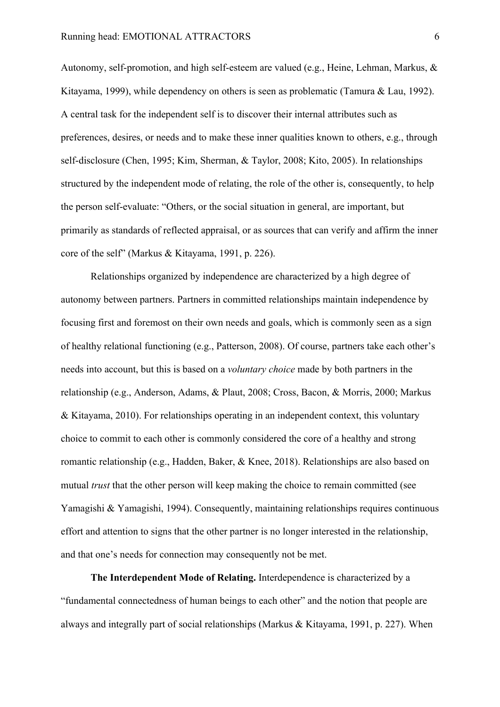Autonomy, self-promotion, and high self-esteem are valued (e.g., Heine, Lehman, Markus, & Kitayama, 1999), while dependency on others is seen as problematic (Tamura & Lau, 1992). A central task for the independent self is to discover their internal attributes such as preferences, desires, or needs and to make these inner qualities known to others, e.g., through self-disclosure (Chen, 1995; Kim, Sherman, & Taylor, 2008; Kito, 2005). In relationships structured by the independent mode of relating, the role of the other is, consequently, to help the person self-evaluate: "Others, or the social situation in general, are important, but primarily as standards of reflected appraisal, or as sources that can verify and affirm the inner core of the self" (Markus & Kitayama, 1991, p. 226).

Relationships organized by independence are characterized by a high degree of autonomy between partners. Partners in committed relationships maintain independence by focusing first and foremost on their own needs and goals, which is commonly seen as a sign of healthy relational functioning (e.g., Patterson, 2008). Of course, partners take each other's needs into account, but this is based on a *voluntary choice* made by both partners in the relationship (e.g., Anderson, Adams, & Plaut, 2008; Cross, Bacon, & Morris, 2000; Markus & Kitayama, 2010). For relationships operating in an independent context, this voluntary choice to commit to each other is commonly considered the core of a healthy and strong romantic relationship (e.g., Hadden, Baker, & Knee, 2018). Relationships are also based on mutual *trust* that the other person will keep making the choice to remain committed (see Yamagishi & Yamagishi, 1994). Consequently, maintaining relationships requires continuous effort and attention to signs that the other partner is no longer interested in the relationship, and that one's needs for connection may consequently not be met.

**The Interdependent Mode of Relating.** Interdependence is characterized by a "fundamental connectedness of human beings to each other" and the notion that people are always and integrally part of social relationships (Markus & Kitayama, 1991, p. 227). When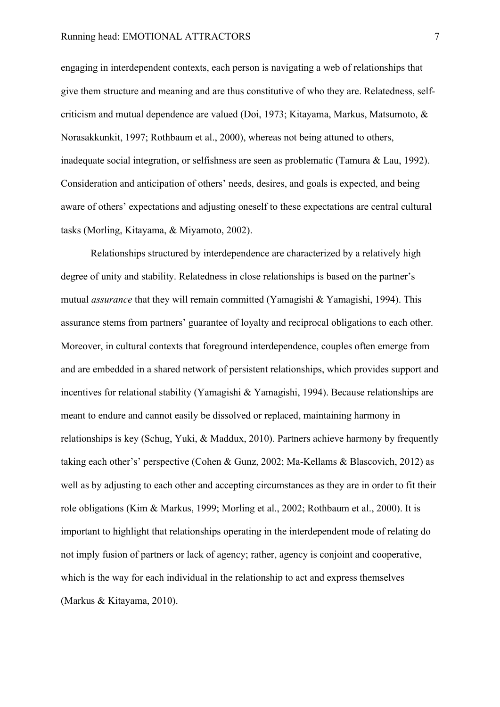engaging in interdependent contexts, each person is navigating a web of relationships that give them structure and meaning and are thus constitutive of who they are. Relatedness, selfcriticism and mutual dependence are valued (Doi, 1973; Kitayama, Markus, Matsumoto, & Norasakkunkit, 1997; Rothbaum et al., 2000), whereas not being attuned to others, inadequate social integration, or selfishness are seen as problematic (Tamura & Lau, 1992). Consideration and anticipation of others' needs, desires, and goals is expected, and being aware of others' expectations and adjusting oneself to these expectations are central cultural tasks (Morling, Kitayama, & Miyamoto, 2002).

Relationships structured by interdependence are characterized by a relatively high degree of unity and stability. Relatedness in close relationships is based on the partner's mutual *assurance* that they will remain committed (Yamagishi & Yamagishi, 1994). This assurance stems from partners' guarantee of loyalty and reciprocal obligations to each other. Moreover, in cultural contexts that foreground interdependence, couples often emerge from and are embedded in a shared network of persistent relationships, which provides support and incentives for relational stability (Yamagishi & Yamagishi, 1994). Because relationships are meant to endure and cannot easily be dissolved or replaced, maintaining harmony in relationships is key (Schug, Yuki, & Maddux, 2010). Partners achieve harmony by frequently taking each other's' perspective (Cohen & Gunz, 2002; Ma-Kellams & Blascovich, 2012) as well as by adjusting to each other and accepting circumstances as they are in order to fit their role obligations (Kim & Markus, 1999; Morling et al., 2002; Rothbaum et al., 2000). It is important to highlight that relationships operating in the interdependent mode of relating do not imply fusion of partners or lack of agency; rather, agency is conjoint and cooperative, which is the way for each individual in the relationship to act and express themselves (Markus & Kitayama, 2010).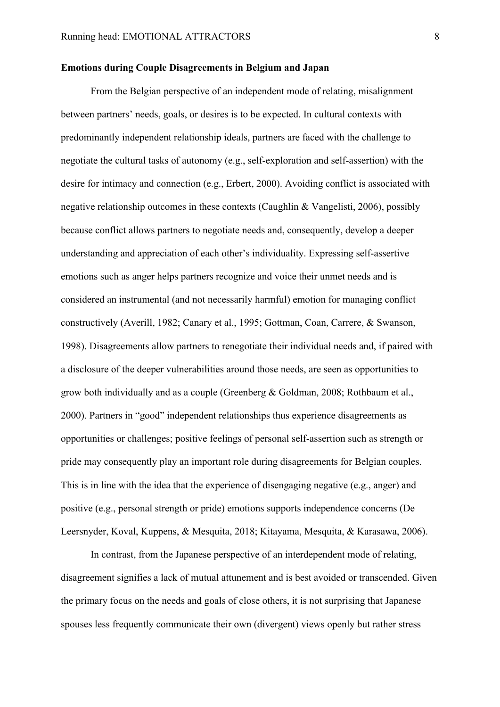#### **Emotions during Couple Disagreements in Belgium and Japan**

From the Belgian perspective of an independent mode of relating, misalignment between partners' needs, goals, or desires is to be expected. In cultural contexts with predominantly independent relationship ideals, partners are faced with the challenge to negotiate the cultural tasks of autonomy (e.g., self-exploration and self-assertion) with the desire for intimacy and connection (e.g., Erbert, 2000). Avoiding conflict is associated with negative relationship outcomes in these contexts (Caughlin & Vangelisti, 2006), possibly because conflict allows partners to negotiate needs and, consequently, develop a deeper understanding and appreciation of each other's individuality. Expressing self-assertive emotions such as anger helps partners recognize and voice their unmet needs and is considered an instrumental (and not necessarily harmful) emotion for managing conflict constructively (Averill, 1982; Canary et al., 1995; Gottman, Coan, Carrere, & Swanson, 1998). Disagreements allow partners to renegotiate their individual needs and, if paired with a disclosure of the deeper vulnerabilities around those needs, are seen as opportunities to grow both individually and as a couple (Greenberg & Goldman, 2008; Rothbaum et al., 2000). Partners in "good" independent relationships thus experience disagreements as opportunities or challenges; positive feelings of personal self-assertion such as strength or pride may consequently play an important role during disagreements for Belgian couples. This is in line with the idea that the experience of disengaging negative (e.g., anger) and positive (e.g., personal strength or pride) emotions supports independence concerns (De Leersnyder, Koval, Kuppens, & Mesquita, 2018; Kitayama, Mesquita, & Karasawa, 2006).

In contrast, from the Japanese perspective of an interdependent mode of relating, disagreement signifies a lack of mutual attunement and is best avoided or transcended. Given the primary focus on the needs and goals of close others, it is not surprising that Japanese spouses less frequently communicate their own (divergent) views openly but rather stress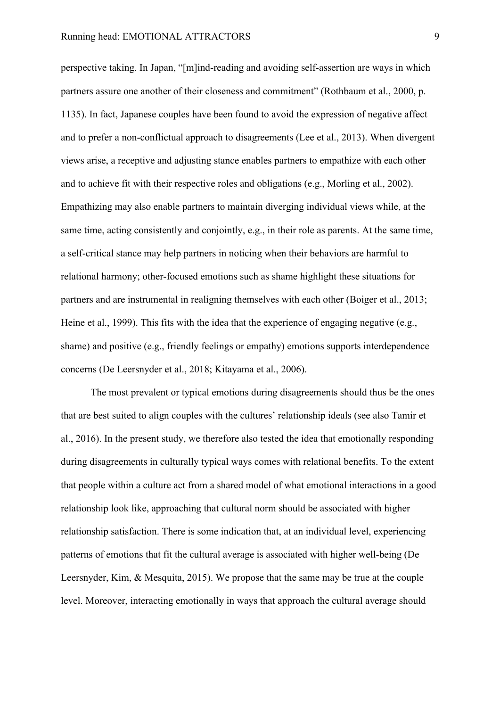perspective taking. In Japan, "[m]ind-reading and avoiding self-assertion are ways in which partners assure one another of their closeness and commitment" (Rothbaum et al., 2000, p. 1135). In fact, Japanese couples have been found to avoid the expression of negative affect and to prefer a non-conflictual approach to disagreements (Lee et al., 2013). When divergent views arise, a receptive and adjusting stance enables partners to empathize with each other and to achieve fit with their respective roles and obligations (e.g., Morling et al., 2002). Empathizing may also enable partners to maintain diverging individual views while, at the same time, acting consistently and conjointly, e.g., in their role as parents. At the same time, a self-critical stance may help partners in noticing when their behaviors are harmful to relational harmony; other-focused emotions such as shame highlight these situations for partners and are instrumental in realigning themselves with each other (Boiger et al., 2013; Heine et al., 1999). This fits with the idea that the experience of engaging negative (e.g., shame) and positive (e.g., friendly feelings or empathy) emotions supports interdependence concerns (De Leersnyder et al., 2018; Kitayama et al., 2006).

The most prevalent or typical emotions during disagreements should thus be the ones that are best suited to align couples with the cultures' relationship ideals (see also Tamir et al., 2016). In the present study, we therefore also tested the idea that emotionally responding during disagreements in culturally typical ways comes with relational benefits. To the extent that people within a culture act from a shared model of what emotional interactions in a good relationship look like, approaching that cultural norm should be associated with higher relationship satisfaction. There is some indication that, at an individual level, experiencing patterns of emotions that fit the cultural average is associated with higher well-being (De Leersnyder, Kim, & Mesquita, 2015). We propose that the same may be true at the couple level. Moreover, interacting emotionally in ways that approach the cultural average should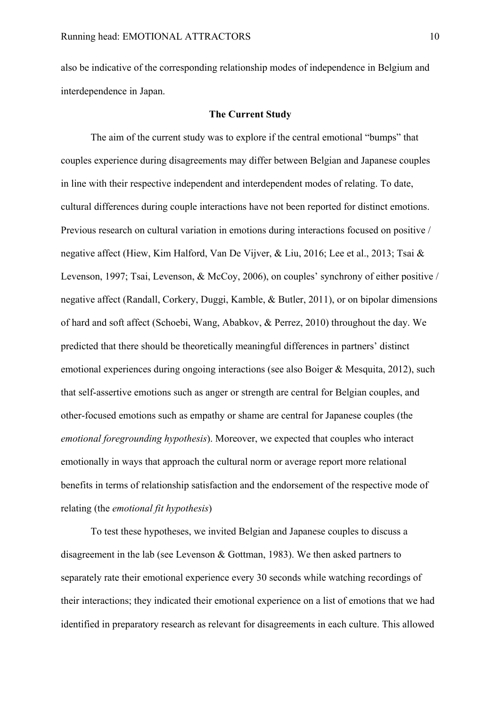also be indicative of the corresponding relationship modes of independence in Belgium and interdependence in Japan.

#### **The Current Study**

The aim of the current study was to explore if the central emotional "bumps" that couples experience during disagreements may differ between Belgian and Japanese couples in line with their respective independent and interdependent modes of relating. To date, cultural differences during couple interactions have not been reported for distinct emotions. Previous research on cultural variation in emotions during interactions focused on positive / negative affect (Hiew, Kim Halford, Van De Vijver, & Liu, 2016; Lee et al., 2013; Tsai & Levenson, 1997; Tsai, Levenson, & McCoy, 2006), on couples' synchrony of either positive / negative affect (Randall, Corkery, Duggi, Kamble, & Butler, 2011), or on bipolar dimensions of hard and soft affect (Schoebi, Wang, Ababkov, & Perrez, 2010) throughout the day. We predicted that there should be theoretically meaningful differences in partners' distinct emotional experiences during ongoing interactions (see also Boiger & Mesquita, 2012), such that self-assertive emotions such as anger or strength are central for Belgian couples, and other-focused emotions such as empathy or shame are central for Japanese couples (the *emotional foregrounding hypothesis*). Moreover, we expected that couples who interact emotionally in ways that approach the cultural norm or average report more relational benefits in terms of relationship satisfaction and the endorsement of the respective mode of relating (the *emotional fit hypothesis*)

To test these hypotheses, we invited Belgian and Japanese couples to discuss a disagreement in the lab (see Levenson & Gottman, 1983). We then asked partners to separately rate their emotional experience every 30 seconds while watching recordings of their interactions; they indicated their emotional experience on a list of emotions that we had identified in preparatory research as relevant for disagreements in each culture. This allowed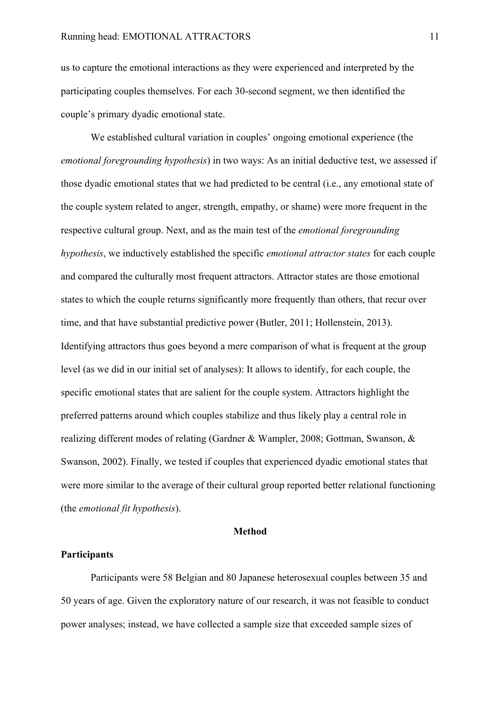us to capture the emotional interactions as they were experienced and interpreted by the participating couples themselves. For each 30-second segment, we then identified the couple's primary dyadic emotional state.

We established cultural variation in couples' ongoing emotional experience (the *emotional foregrounding hypothesis*) in two ways: As an initial deductive test, we assessed if those dyadic emotional states that we had predicted to be central (i.e., any emotional state of the couple system related to anger, strength, empathy, or shame) were more frequent in the respective cultural group. Next, and as the main test of the *emotional foregrounding hypothesis*, we inductively established the specific *emotional attractor states* for each couple and compared the culturally most frequent attractors. Attractor states are those emotional states to which the couple returns significantly more frequently than others, that recur over time, and that have substantial predictive power (Butler, 2011; Hollenstein, 2013). Identifying attractors thus goes beyond a mere comparison of what is frequent at the group level (as we did in our initial set of analyses): It allows to identify, for each couple, the specific emotional states that are salient for the couple system. Attractors highlight the preferred patterns around which couples stabilize and thus likely play a central role in realizing different modes of relating (Gardner & Wampler, 2008; Gottman, Swanson, & Swanson, 2002). Finally, we tested if couples that experienced dyadic emotional states that were more similar to the average of their cultural group reported better relational functioning (the *emotional fit hypothesis*).

#### **Method**

#### **Participants**

Participants were 58 Belgian and 80 Japanese heterosexual couples between 35 and 50 years of age. Given the exploratory nature of our research, it was not feasible to conduct power analyses; instead, we have collected a sample size that exceeded sample sizes of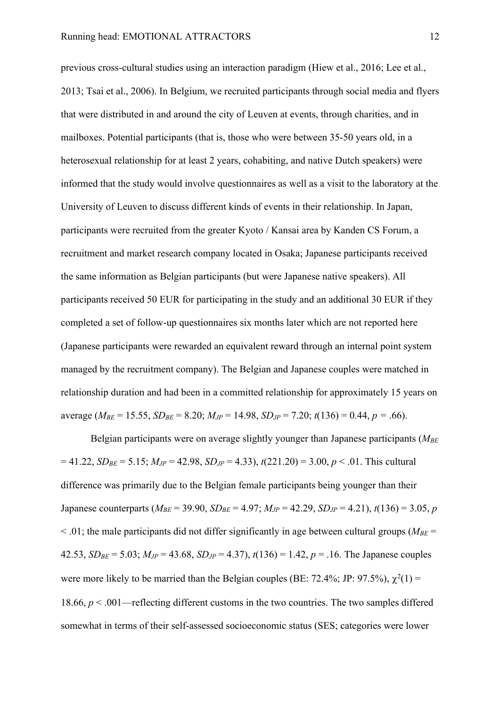previous cross-cultural studies using an interaction paradigm (Hiew et al., 2016; Lee et al., 2013; Tsai et al., 2006). In Belgium, we recruited participants through social media and flyers that were distributed in and around the city of Leuven at events, through charities, and in mailboxes. Potential participants (that is, those who were between 35-50 years old, in a heterosexual relationship for at least 2 years, cohabiting, and native Dutch speakers) were informed that the study would involve questionnaires as well as a visit to the laboratory at the University of Leuven to discuss different kinds of events in their relationship. In Japan, participants were recruited from the greater Kyoto / Kansai area by Kanden CS Forum, a recruitment and market research company located in Osaka; Japanese participants received the same information as Belgian participants (but were Japanese native speakers). All participants received 50 EUR for participating in the study and an additional 30 EUR if they completed a set of follow-up questionnaires six months later which are not reported here (Japanese participants were rewarded an equivalent reward through an internal point system managed by the recruitment company). The Belgian and Japanese couples were matched in relationship duration and had been in a committed relationship for approximately 15 years on average ( $M_{BE}$  = 15.55,  $SD_{BE}$  = 8.20;  $M_{JP}$  = 14.98,  $SD_{JP}$  = 7.20;  $t(136)$  = 0.44,  $p = .66$ ).

Belgian participants were on average slightly younger than Japanese participants (*MBE*  $= 41.22$ ,  $SD_{BE} = 5.15$ ;  $M_{JP} = 42.98$ ,  $SD_{JP} = 4.33$ ),  $t(221.20) = 3.00$ ,  $p < .01$ . This cultural difference was primarily due to the Belgian female participants being younger than their Japanese counterparts ( $M_{BE}$  = 39.90,  $SD_{BE}$  = 4.97;  $M_{JP}$  = 42.29,  $SD_{JP}$  = 4.21),  $t(136)$  = 3.05, *p*  $\leq$  01; the male participants did not differ significantly in age between cultural groups ( $M_{BE}$  = 42.53,  $SD_{BE} = 5.03$ ;  $M_{JP} = 43.68$ ,  $SD_{JP} = 4.37$ ),  $t(136) = 1.42$ ,  $p = .16$ . The Japanese couples were more likely to be married than the Belgian couples (BE: 72.4%; JP: 97.5%),  $\chi^2(1)$  = 18.66, *p* < .001—reflecting different customs in the two countries. The two samples differed somewhat in terms of their self-assessed socioeconomic status (SES; categories were lower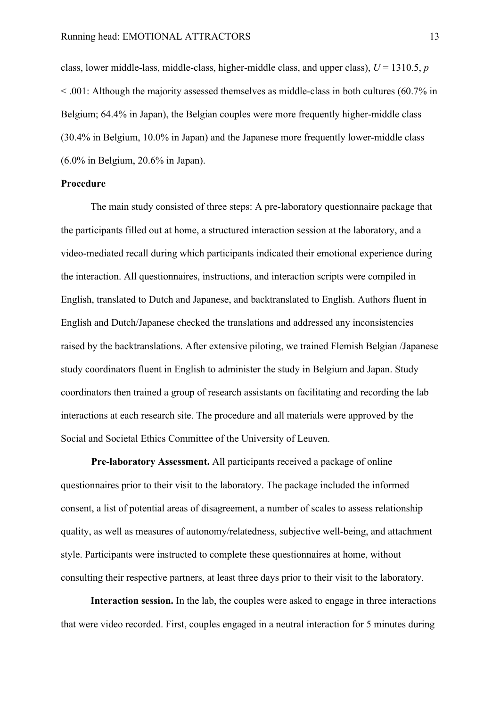class, lower middle-lass, middle-class, higher-middle class, and upper class), *U* = 1310.5, *p*  < .001: Although the majority assessed themselves as middle-class in both cultures (60.7% in Belgium; 64.4% in Japan), the Belgian couples were more frequently higher-middle class (30.4% in Belgium, 10.0% in Japan) and the Japanese more frequently lower-middle class (6.0% in Belgium, 20.6% in Japan).

#### **Procedure**

The main study consisted of three steps: A pre-laboratory questionnaire package that the participants filled out at home, a structured interaction session at the laboratory, and a video-mediated recall during which participants indicated their emotional experience during the interaction. All questionnaires, instructions, and interaction scripts were compiled in English, translated to Dutch and Japanese, and backtranslated to English. Authors fluent in English and Dutch/Japanese checked the translations and addressed any inconsistencies raised by the backtranslations. After extensive piloting, we trained Flemish Belgian /Japanese study coordinators fluent in English to administer the study in Belgium and Japan. Study coordinators then trained a group of research assistants on facilitating and recording the lab interactions at each research site. The procedure and all materials were approved by the Social and Societal Ethics Committee of the University of Leuven.

**Pre-laboratory Assessment.** All participants received a package of online questionnaires prior to their visit to the laboratory. The package included the informed consent, a list of potential areas of disagreement, a number of scales to assess relationship quality, as well as measures of autonomy/relatedness, subjective well-being, and attachment style. Participants were instructed to complete these questionnaires at home, without consulting their respective partners, at least three days prior to their visit to the laboratory.

**Interaction session.** In the lab, the couples were asked to engage in three interactions that were video recorded. First, couples engaged in a neutral interaction for 5 minutes during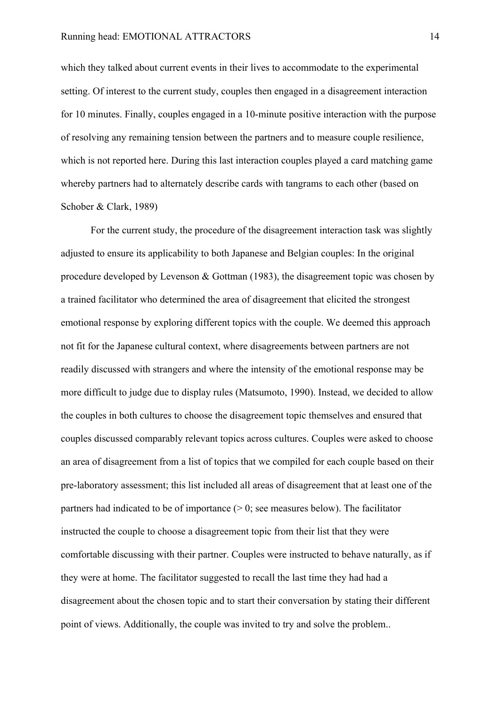which they talked about current events in their lives to accommodate to the experimental setting. Of interest to the current study, couples then engaged in a disagreement interaction for 10 minutes. Finally, couples engaged in a 10-minute positive interaction with the purpose of resolving any remaining tension between the partners and to measure couple resilience, which is not reported here. During this last interaction couples played a card matching game whereby partners had to alternately describe cards with tangrams to each other (based on Schober & Clark, 1989)

For the current study, the procedure of the disagreement interaction task was slightly adjusted to ensure its applicability to both Japanese and Belgian couples: In the original procedure developed by Levenson & Gottman (1983), the disagreement topic was chosen by a trained facilitator who determined the area of disagreement that elicited the strongest emotional response by exploring different topics with the couple. We deemed this approach not fit for the Japanese cultural context, where disagreements between partners are not readily discussed with strangers and where the intensity of the emotional response may be more difficult to judge due to display rules (Matsumoto, 1990). Instead, we decided to allow the couples in both cultures to choose the disagreement topic themselves and ensured that couples discussed comparably relevant topics across cultures. Couples were asked to choose an area of disagreement from a list of topics that we compiled for each couple based on their pre-laboratory assessment; this list included all areas of disagreement that at least one of the partners had indicated to be of importance  $(0, 0)$ ; see measures below). The facilitator instructed the couple to choose a disagreement topic from their list that they were comfortable discussing with their partner. Couples were instructed to behave naturally, as if they were at home. The facilitator suggested to recall the last time they had had a disagreement about the chosen topic and to start their conversation by stating their different point of views. Additionally, the couple was invited to try and solve the problem..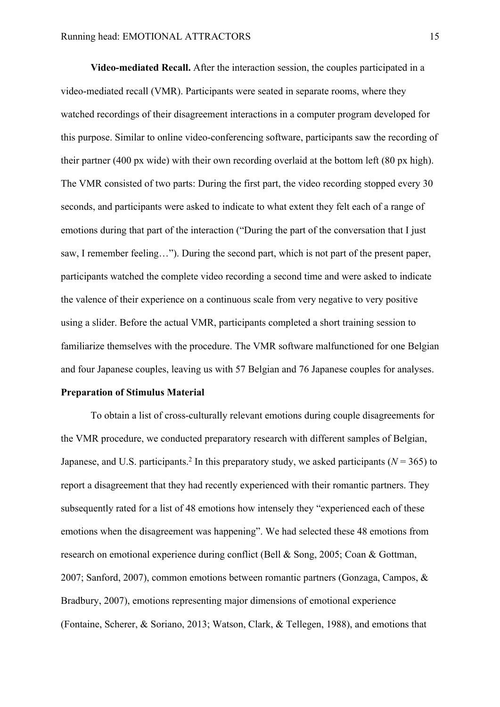**Video-mediated Recall.** After the interaction session, the couples participated in a video-mediated recall (VMR). Participants were seated in separate rooms, where they watched recordings of their disagreement interactions in a computer program developed for this purpose. Similar to online video-conferencing software, participants saw the recording of their partner (400 px wide) with their own recording overlaid at the bottom left (80 px high). The VMR consisted of two parts: During the first part, the video recording stopped every 30 seconds, and participants were asked to indicate to what extent they felt each of a range of emotions during that part of the interaction ("During the part of the conversation that I just saw, I remember feeling…"). During the second part, which is not part of the present paper, participants watched the complete video recording a second time and were asked to indicate the valence of their experience on a continuous scale from very negative to very positive using a slider. Before the actual VMR, participants completed a short training session to familiarize themselves with the procedure. The VMR software malfunctioned for one Belgian and four Japanese couples, leaving us with 57 Belgian and 76 Japanese couples for analyses.

#### **Preparation of Stimulus Material**

To obtain a list of cross-culturally relevant emotions during couple disagreements for the VMR procedure, we conducted preparatory research with different samples of Belgian, Japanese, and U.S. participants.<sup>2</sup> In this preparatory study, we asked participants ( $N = 365$ ) to report a disagreement that they had recently experienced with their romantic partners. They subsequently rated for a list of 48 emotions how intensely they "experienced each of these emotions when the disagreement was happening". We had selected these 48 emotions from research on emotional experience during conflict (Bell & Song, 2005; Coan & Gottman, 2007; Sanford, 2007), common emotions between romantic partners (Gonzaga, Campos, & Bradbury, 2007), emotions representing major dimensions of emotional experience (Fontaine, Scherer, & Soriano, 2013; Watson, Clark, & Tellegen, 1988), and emotions that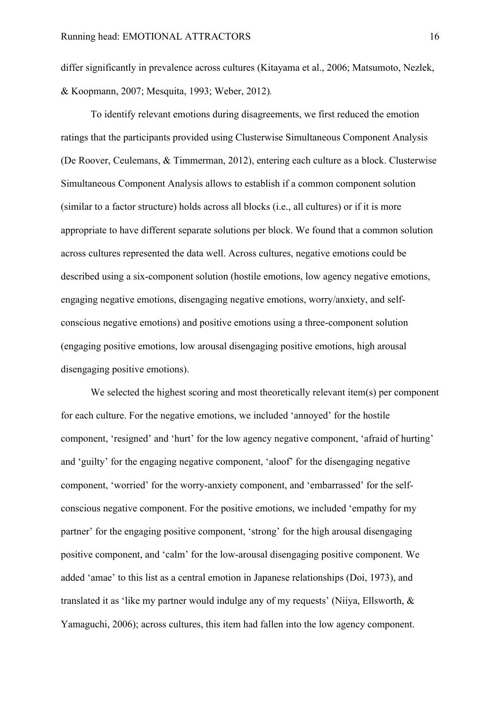differ significantly in prevalence across cultures (Kitayama et al., 2006; Matsumoto, Nezlek, & Koopmann, 2007; Mesquita, 1993; Weber, 2012)*.*

To identify relevant emotions during disagreements, we first reduced the emotion ratings that the participants provided using Clusterwise Simultaneous Component Analysis (De Roover, Ceulemans, & Timmerman, 2012), entering each culture as a block. Clusterwise Simultaneous Component Analysis allows to establish if a common component solution (similar to a factor structure) holds across all blocks (i.e., all cultures) or if it is more appropriate to have different separate solutions per block. We found that a common solution across cultures represented the data well. Across cultures, negative emotions could be described using a six-component solution (hostile emotions, low agency negative emotions, engaging negative emotions, disengaging negative emotions, worry/anxiety, and selfconscious negative emotions) and positive emotions using a three-component solution (engaging positive emotions, low arousal disengaging positive emotions, high arousal disengaging positive emotions).

We selected the highest scoring and most theoretically relevant item(s) per component for each culture. For the negative emotions, we included 'annoyed' for the hostile component, 'resigned' and 'hurt' for the low agency negative component, 'afraid of hurting' and 'guilty' for the engaging negative component, 'aloof' for the disengaging negative component, 'worried' for the worry-anxiety component, and 'embarrassed' for the selfconscious negative component. For the positive emotions, we included 'empathy for my partner' for the engaging positive component, 'strong' for the high arousal disengaging positive component, and 'calm' for the low-arousal disengaging positive component. We added 'amae' to this list as a central emotion in Japanese relationships (Doi, 1973), and translated it as 'like my partner would indulge any of my requests' (Niiya, Ellsworth, & Yamaguchi, 2006); across cultures, this item had fallen into the low agency component.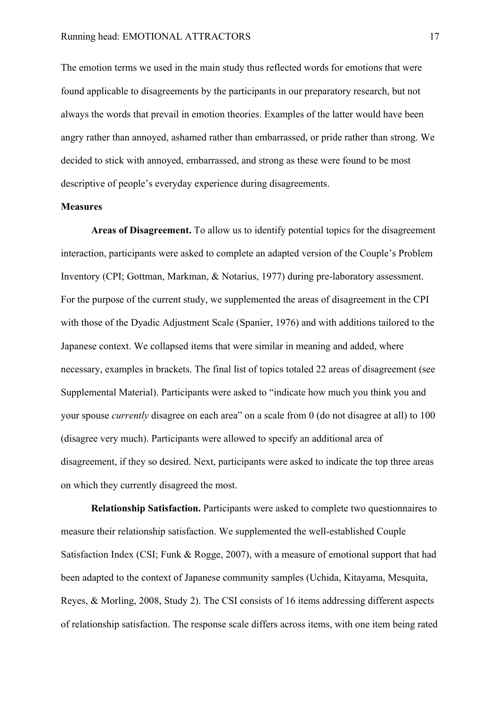The emotion terms we used in the main study thus reflected words for emotions that were found applicable to disagreements by the participants in our preparatory research, but not always the words that prevail in emotion theories. Examples of the latter would have been angry rather than annoyed, ashamed rather than embarrassed, or pride rather than strong. We decided to stick with annoyed, embarrassed, and strong as these were found to be most descriptive of people's everyday experience during disagreements.

#### **Measures**

**Areas of Disagreement.** To allow us to identify potential topics for the disagreement interaction, participants were asked to complete an adapted version of the Couple's Problem Inventory (CPI; Gottman, Markman, & Notarius, 1977) during pre-laboratory assessment. For the purpose of the current study, we supplemented the areas of disagreement in the CPI with those of the Dyadic Adjustment Scale (Spanier, 1976) and with additions tailored to the Japanese context. We collapsed items that were similar in meaning and added, where necessary, examples in brackets. The final list of topics totaled 22 areas of disagreement (see Supplemental Material). Participants were asked to "indicate how much you think you and your spouse *currently* disagree on each area" on a scale from 0 (do not disagree at all) to 100 (disagree very much). Participants were allowed to specify an additional area of disagreement, if they so desired. Next, participants were asked to indicate the top three areas on which they currently disagreed the most.

**Relationship Satisfaction.** Participants were asked to complete two questionnaires to measure their relationship satisfaction. We supplemented the well-established Couple Satisfaction Index (CSI; Funk & Rogge, 2007), with a measure of emotional support that had been adapted to the context of Japanese community samples (Uchida, Kitayama, Mesquita, Reyes, & Morling, 2008, Study 2). The CSI consists of 16 items addressing different aspects of relationship satisfaction. The response scale differs across items, with one item being rated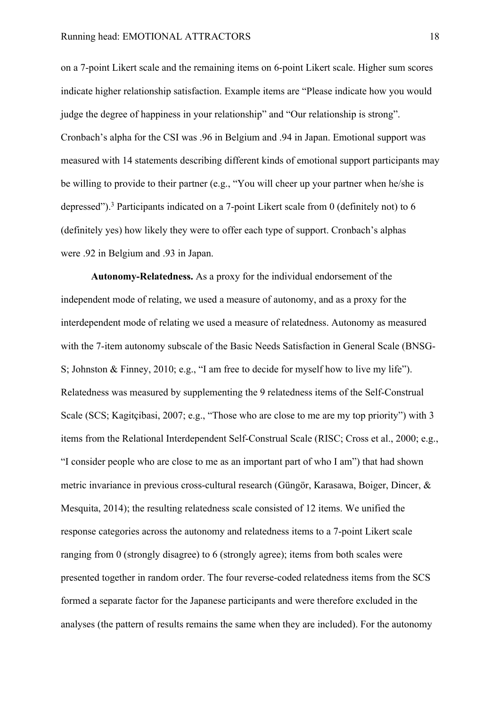on a 7-point Likert scale and the remaining items on 6-point Likert scale. Higher sum scores indicate higher relationship satisfaction. Example items are "Please indicate how you would judge the degree of happiness in your relationship" and "Our relationship is strong". Cronbach's alpha for the CSI was .96 in Belgium and .94 in Japan. Emotional support was measured with 14 statements describing different kinds of emotional support participants may be willing to provide to their partner (e.g., "You will cheer up your partner when he/she is depressed").3 Participants indicated on a 7-point Likert scale from 0 (definitely not) to 6 (definitely yes) how likely they were to offer each type of support. Cronbach's alphas were .92 in Belgium and .93 in Japan.

**Autonomy-Relatedness.** As a proxy for the individual endorsement of the independent mode of relating, we used a measure of autonomy, and as a proxy for the interdependent mode of relating we used a measure of relatedness. Autonomy as measured with the 7-item autonomy subscale of the Basic Needs Satisfaction in General Scale (BNSG-S; Johnston & Finney, 2010; e.g., "I am free to decide for myself how to live my life"). Relatedness was measured by supplementing the 9 relatedness items of the Self-Construal Scale (SCS; Kagitçibasi, 2007; e.g., "Those who are close to me are my top priority") with 3 items from the Relational Interdependent Self-Construal Scale (RISC; Cross et al., 2000; e.g., "I consider people who are close to me as an important part of who I am") that had shown metric invariance in previous cross-cultural research (Güngör, Karasawa, Boiger, Dincer, & Mesquita, 2014); the resulting relatedness scale consisted of 12 items. We unified the response categories across the autonomy and relatedness items to a 7-point Likert scale ranging from 0 (strongly disagree) to 6 (strongly agree); items from both scales were presented together in random order. The four reverse-coded relatedness items from the SCS formed a separate factor for the Japanese participants and were therefore excluded in the analyses (the pattern of results remains the same when they are included). For the autonomy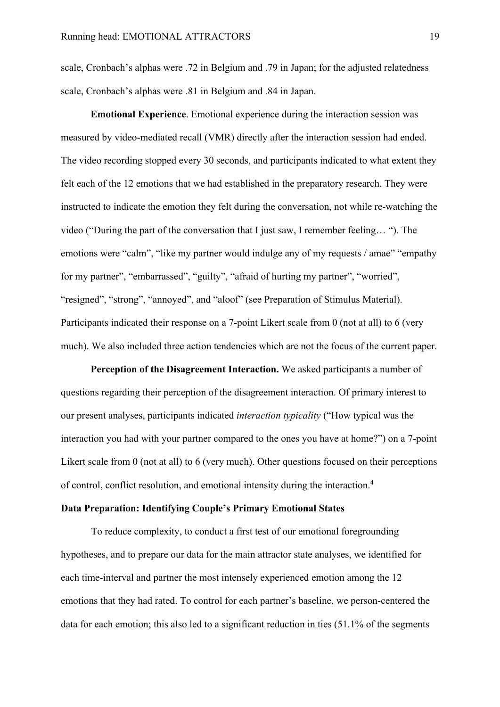scale, Cronbach's alphas were .72 in Belgium and .79 in Japan; for the adjusted relatedness scale, Cronbach's alphas were .81 in Belgium and .84 in Japan.

**Emotional Experience**. Emotional experience during the interaction session was measured by video-mediated recall (VMR) directly after the interaction session had ended. The video recording stopped every 30 seconds, and participants indicated to what extent they felt each of the 12 emotions that we had established in the preparatory research. They were instructed to indicate the emotion they felt during the conversation, not while re-watching the video ("During the part of the conversation that I just saw, I remember feeling… "). The emotions were "calm", "like my partner would indulge any of my requests / amae" "empathy" for my partner", "embarrassed", "guilty", "afraid of hurting my partner", "worried", "resigned", "strong", "annoyed", and "aloof" (see Preparation of Stimulus Material). Participants indicated their response on a 7-point Likert scale from 0 (not at all) to 6 (very much). We also included three action tendencies which are not the focus of the current paper.

**Perception of the Disagreement Interaction.** We asked participants a number of questions regarding their perception of the disagreement interaction. Of primary interest to our present analyses, participants indicated *interaction typicality* ("How typical was the interaction you had with your partner compared to the ones you have at home?") on a 7-point Likert scale from 0 (not at all) to 6 (very much). Other questions focused on their perceptions of control, conflict resolution, and emotional intensity during the interaction.4

#### **Data Preparation: Identifying Couple's Primary Emotional States**

To reduce complexity, to conduct a first test of our emotional foregrounding hypotheses, and to prepare our data for the main attractor state analyses, we identified for each time-interval and partner the most intensely experienced emotion among the 12 emotions that they had rated. To control for each partner's baseline, we person-centered the data for each emotion; this also led to a significant reduction in ties (51.1% of the segments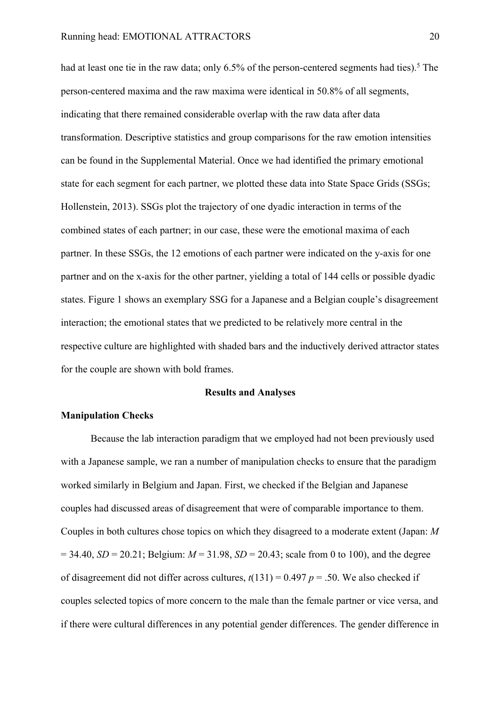had at least one tie in the raw data; only  $6.5\%$  of the person-centered segments had ties).<sup>5</sup> The person-centered maxima and the raw maxima were identical in 50.8% of all segments, indicating that there remained considerable overlap with the raw data after data transformation. Descriptive statistics and group comparisons for the raw emotion intensities can be found in the Supplemental Material. Once we had identified the primary emotional state for each segment for each partner, we plotted these data into State Space Grids (SSGs; Hollenstein, 2013). SSGs plot the trajectory of one dyadic interaction in terms of the combined states of each partner; in our case, these were the emotional maxima of each partner. In these SSGs, the 12 emotions of each partner were indicated on the y-axis for one partner and on the x-axis for the other partner, yielding a total of 144 cells or possible dyadic states. Figure 1 shows an exemplary SSG for a Japanese and a Belgian couple's disagreement interaction; the emotional states that we predicted to be relatively more central in the respective culture are highlighted with shaded bars and the inductively derived attractor states for the couple are shown with bold frames.

#### **Results and Analyses**

#### **Manipulation Checks**

Because the lab interaction paradigm that we employed had not been previously used with a Japanese sample, we ran a number of manipulation checks to ensure that the paradigm worked similarly in Belgium and Japan. First, we checked if the Belgian and Japanese couples had discussed areas of disagreement that were of comparable importance to them. Couples in both cultures chose topics on which they disagreed to a moderate extent (Japan: *M*  $= 34.40, SD = 20.21$ ; Belgium:  $M = 31.98$ ,  $SD = 20.43$ ; scale from 0 to 100), and the degree of disagreement did not differ across cultures,  $t(131) = 0.497$   $p = .50$ . We also checked if couples selected topics of more concern to the male than the female partner or vice versa, and if there were cultural differences in any potential gender differences. The gender difference in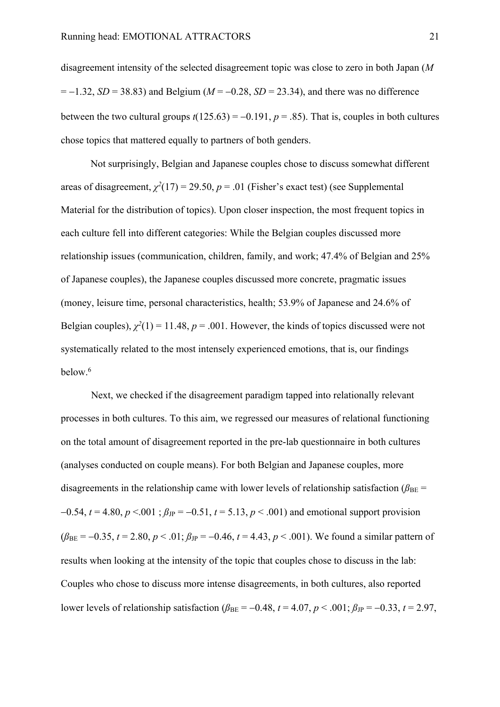disagreement intensity of the selected disagreement topic was close to zero in both Japan (*M*  $= -1.32$ , *SD* = 38.83) and Belgium (*M* = -0.28, *SD* = 23.34), and there was no difference between the two cultural groups  $t(125.63) = -0.191$ ,  $p = .85$ ). That is, couples in both cultures chose topics that mattered equally to partners of both genders.

Not surprisingly, Belgian and Japanese couples chose to discuss somewhat different areas of disagreement,  $\chi^2(17) = 29.50$ ,  $p = .01$  (Fisher's exact test) (see Supplemental Material for the distribution of topics). Upon closer inspection, the most frequent topics in each culture fell into different categories: While the Belgian couples discussed more relationship issues (communication, children, family, and work; 47.4% of Belgian and 25% of Japanese couples), the Japanese couples discussed more concrete, pragmatic issues (money, leisure time, personal characteristics, health; 53.9% of Japanese and 24.6% of Belgian couples),  $\chi^2(1) = 11.48$ ,  $p = .001$ . However, the kinds of topics discussed were not systematically related to the most intensely experienced emotions, that is, our findings below.6

Next, we checked if the disagreement paradigm tapped into relationally relevant processes in both cultures. To this aim, we regressed our measures of relational functioning on the total amount of disagreement reported in the pre-lab questionnaire in both cultures (analyses conducted on couple means). For both Belgian and Japanese couples, more disagreements in the relationship came with lower levels of relationship satisfaction ( $\beta_{BE}$  =  $-0.54$ ,  $t = 4.80$ ,  $p < 0.01$ ;  $\beta_{\text{JP}} = -0.51$ ,  $t = 5.13$ ,  $p < 0.001$ ) and emotional support provision  $(\beta_{BE} = -0.35, t = 2.80, p < .01; \beta_{JP} = -0.46, t = 4.43, p < .001)$ . We found a similar pattern of results when looking at the intensity of the topic that couples chose to discuss in the lab: Couples who chose to discuss more intense disagreements, in both cultures, also reported lower levels of relationship satisfaction ( $\beta_{BE} = -0.48$ ,  $t = 4.07$ ,  $p < .001$ ;  $\beta_{JP} = -0.33$ ,  $t = 2.97$ ,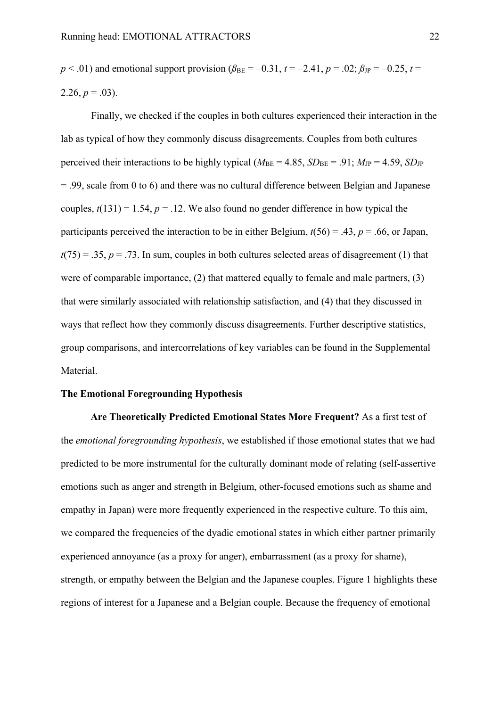$p < .01$ ) and emotional support provision ( $\beta_{BE} = -0.31$ ,  $t = -2.41$ ,  $p = .02$ ;  $\beta_{JP} = -0.25$ ,  $t =$ 2.26,  $p = .03$ ).

Finally, we checked if the couples in both cultures experienced their interaction in the lab as typical of how they commonly discuss disagreements. Couples from both cultures perceived their interactions to be highly typical ( $M_{BE} = 4.85$ ,  $SD_{BE} = .91$ ;  $M_{JP} = 4.59$ ,  $SD_{JP}$ = .99, scale from 0 to 6) and there was no cultural difference between Belgian and Japanese couples,  $t(131) = 1.54$ ,  $p = .12$ . We also found no gender difference in how typical the participants perceived the interaction to be in either Belgium,  $t(56) = .43$ ,  $p = .66$ , or Japan,  $t(75) = .35$ ,  $p = .73$ . In sum, couples in both cultures selected areas of disagreement (1) that were of comparable importance, (2) that mattered equally to female and male partners, (3) that were similarly associated with relationship satisfaction, and (4) that they discussed in ways that reflect how they commonly discuss disagreements. Further descriptive statistics, group comparisons, and intercorrelations of key variables can be found in the Supplemental Material.

#### **The Emotional Foregrounding Hypothesis**

**Are Theoretically Predicted Emotional States More Frequent?** As a first test of the *emotional foregrounding hypothesis*, we established if those emotional states that we had predicted to be more instrumental for the culturally dominant mode of relating (self-assertive emotions such as anger and strength in Belgium, other-focused emotions such as shame and empathy in Japan) were more frequently experienced in the respective culture. To this aim, we compared the frequencies of the dyadic emotional states in which either partner primarily experienced annoyance (as a proxy for anger), embarrassment (as a proxy for shame), strength, or empathy between the Belgian and the Japanese couples. Figure 1 highlights these regions of interest for a Japanese and a Belgian couple. Because the frequency of emotional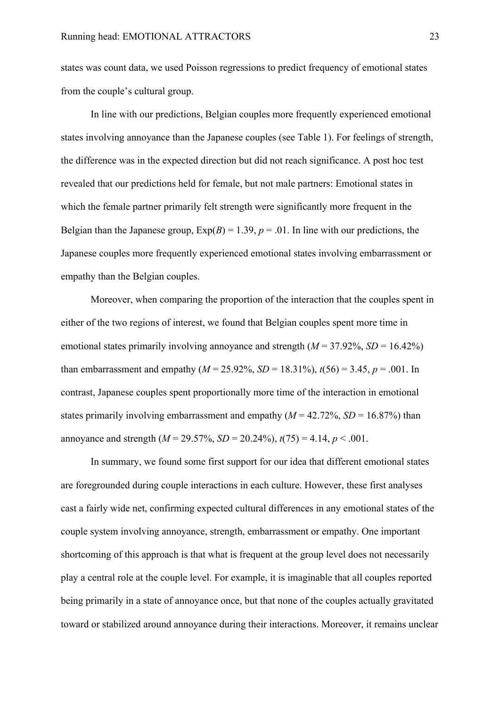states was count data, we used Poisson regressions to predict frequency of emotional states from the couple's cultural group.

In line with our predictions, Belgian couples more frequently experienced emotional states involving annoyance than the Japanese couples (see Table 1). For feelings of strength, the difference was in the expected direction but did not reach significance. A post hoc test revealed that our predictions held for female, but not male partners: Emotional states in which the female partner primarily felt strength were significantly more frequent in the Belgian than the Japanese group,  $Exp(B) = 1.39$ ,  $p = .01$ . In line with our predictions, the Japanese couples more frequently experienced emotional states involving embarrassment or empathy than the Belgian couples.

Moreover, when comparing the proportion of the interaction that the couples spent in either of the two regions of interest, we found that Belgian couples spent more time in emotional states primarily involving annoyance and strength  $(M = 37.92\%, SD = 16.42\%)$ than embarrassment and empathy ( $M = 25.92\%$ ,  $SD = 18.31\%$ ),  $t(56) = 3.45$ ,  $p = .001$ . In contrast, Japanese couples spent proportionally more time of the interaction in emotional states primarily involving embarrassment and empathy  $(M = 42.72\%, SD = 16.87\%)$  than annoyance and strength  $(M = 29.57\%, SD = 20.24\%)$ ,  $t(75) = 4.14$ ,  $p < .001$ .

In summary, we found some first support for our idea that different emotional states are foregrounded during couple interactions in each culture. However, these first analyses cast a fairly wide net, confirming expected cultural differences in any emotional states of the couple system involving annoyance, strength, embarrassment or empathy. One important shortcoming of this approach is that what is frequent at the group level does not necessarily play a central role at the couple level. For example, it is imaginable that all couples reported being primarily in a state of annoyance once, but that none of the couples actually gravitated toward or stabilized around annoyance during their interactions. Moreover, it remains unclear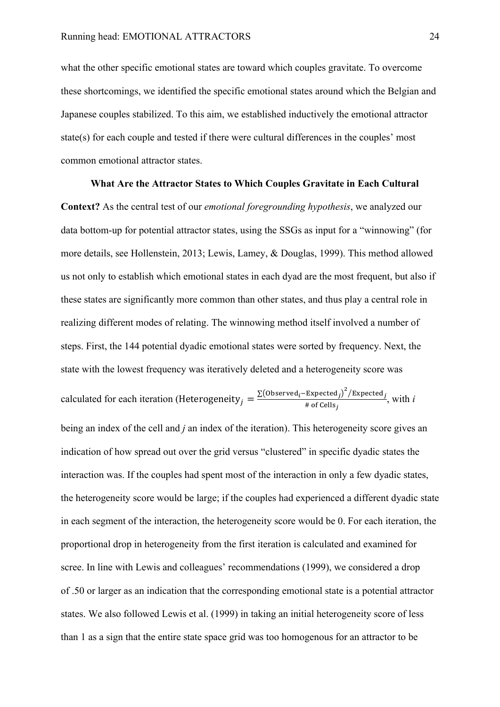what the other specific emotional states are toward which couples gravitate. To overcome these shortcomings, we identified the specific emotional states around which the Belgian and Japanese couples stabilized. To this aim, we established inductively the emotional attractor state(s) for each couple and tested if there were cultural differences in the couples' most common emotional attractor states.

**What Are the Attractor States to Which Couples Gravitate in Each Cultural Context?** As the central test of our *emotional foregrounding hypothesis*, we analyzed our data bottom-up for potential attractor states, using the SSGs as input for a "winnowing" (for more details, see Hollenstein, 2013; Lewis, Lamey, & Douglas, 1999). This method allowed us not only to establish which emotional states in each dyad are the most frequent, but also if these states are significantly more common than other states, and thus play a central role in realizing different modes of relating. The winnowing method itself involved a number of steps. First, the 144 potential dyadic emotional states were sorted by frequency. Next, the state with the lowest frequency was iteratively deleted and a heterogeneity score was calculated for each iteration (Heterogeneity<sub>j</sub> =  $\frac{\sum(\text{observed}_i - \text{Expected}_j)^2 / \text{Expected}_j}{\text{# of Cells}_i}$  $\frac{1}{\text{Lapected }j}$ , with *i*  $\neq$  of Cells<sub>j</sub> being an index of the cell and *j* an index of the iteration). This heterogeneity score gives an indication of how spread out over the grid versus "clustered" in specific dyadic states the interaction was. If the couples had spent most of the interaction in only a few dyadic states, the heterogeneity score would be large; if the couples had experienced a different dyadic state in each segment of the interaction, the heterogeneity score would be 0. For each iteration, the proportional drop in heterogeneity from the first iteration is calculated and examined for scree. In line with Lewis and colleagues' recommendations (1999), we considered a drop of .50 or larger as an indication that the corresponding emotional state is a potential attractor states. We also followed Lewis et al. (1999) in taking an initial heterogeneity score of less than 1 as a sign that the entire state space grid was too homogenous for an attractor to be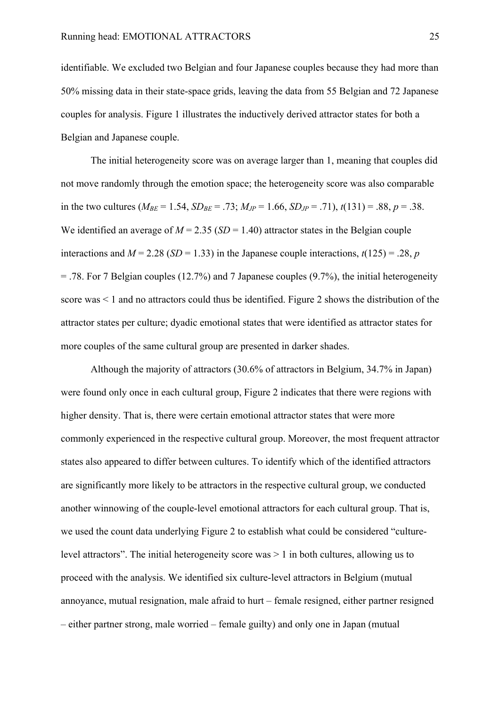identifiable. We excluded two Belgian and four Japanese couples because they had more than 50% missing data in their state-space grids, leaving the data from 55 Belgian and 72 Japanese couples for analysis. Figure 1 illustrates the inductively derived attractor states for both a Belgian and Japanese couple.

The initial heterogeneity score was on average larger than 1, meaning that couples did not move randomly through the emotion space; the heterogeneity score was also comparable in the two cultures ( $M_{BE} = 1.54$ ,  $SD_{BE} = .73$ ;  $M_{JP} = 1.66$ ,  $SD_{JP} = .71$ ),  $t(131) = .88$ ,  $p = .38$ . We identified an average of  $M = 2.35$  (*SD* = 1.40) attractor states in the Belgian couple interactions and  $M = 2.28$  (*SD* = 1.33) in the Japanese couple interactions,  $t(125) = .28$ , *p*  $=$  .78. For 7 Belgian couples (12.7%) and 7 Japanese couples (9.7%), the initial heterogeneity score was < 1 and no attractors could thus be identified. Figure 2 shows the distribution of the attractor states per culture; dyadic emotional states that were identified as attractor states for more couples of the same cultural group are presented in darker shades.

Although the majority of attractors (30.6% of attractors in Belgium, 34.7% in Japan) were found only once in each cultural group, Figure 2 indicates that there were regions with higher density. That is, there were certain emotional attractor states that were more commonly experienced in the respective cultural group. Moreover, the most frequent attractor states also appeared to differ between cultures. To identify which of the identified attractors are significantly more likely to be attractors in the respective cultural group, we conducted another winnowing of the couple-level emotional attractors for each cultural group. That is, we used the count data underlying Figure 2 to establish what could be considered "culturelevel attractors". The initial heterogeneity score was > 1 in both cultures, allowing us to proceed with the analysis. We identified six culture-level attractors in Belgium (mutual annoyance, mutual resignation, male afraid to hurt – female resigned, either partner resigned – either partner strong, male worried – female guilty) and only one in Japan (mutual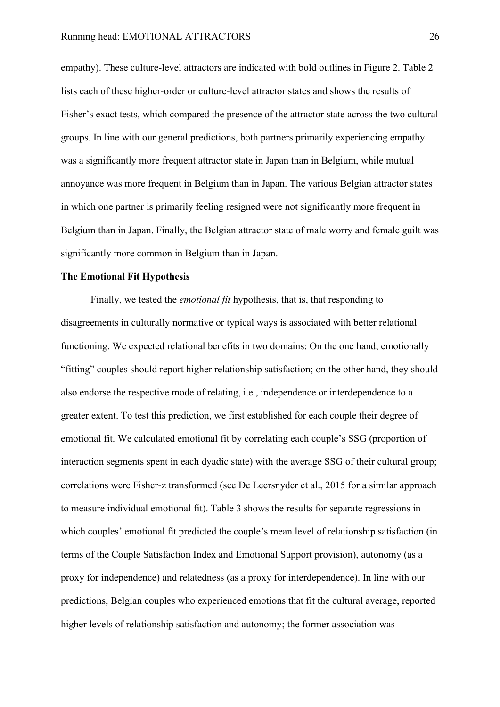empathy). These culture-level attractors are indicated with bold outlines in Figure 2. Table 2 lists each of these higher-order or culture-level attractor states and shows the results of Fisher's exact tests, which compared the presence of the attractor state across the two cultural groups. In line with our general predictions, both partners primarily experiencing empathy was a significantly more frequent attractor state in Japan than in Belgium, while mutual annoyance was more frequent in Belgium than in Japan. The various Belgian attractor states in which one partner is primarily feeling resigned were not significantly more frequent in Belgium than in Japan. Finally, the Belgian attractor state of male worry and female guilt was significantly more common in Belgium than in Japan.

#### **The Emotional Fit Hypothesis**

Finally, we tested the *emotional fit* hypothesis, that is, that responding to disagreements in culturally normative or typical ways is associated with better relational functioning. We expected relational benefits in two domains: On the one hand, emotionally "fitting" couples should report higher relationship satisfaction; on the other hand, they should also endorse the respective mode of relating, i.e., independence or interdependence to a greater extent. To test this prediction, we first established for each couple their degree of emotional fit. We calculated emotional fit by correlating each couple's SSG (proportion of interaction segments spent in each dyadic state) with the average SSG of their cultural group; correlations were Fisher-z transformed (see De Leersnyder et al., 2015 for a similar approach to measure individual emotional fit). Table 3 shows the results for separate regressions in which couples' emotional fit predicted the couple's mean level of relationship satisfaction (in terms of the Couple Satisfaction Index and Emotional Support provision), autonomy (as a proxy for independence) and relatedness (as a proxy for interdependence). In line with our predictions, Belgian couples who experienced emotions that fit the cultural average, reported higher levels of relationship satisfaction and autonomy; the former association was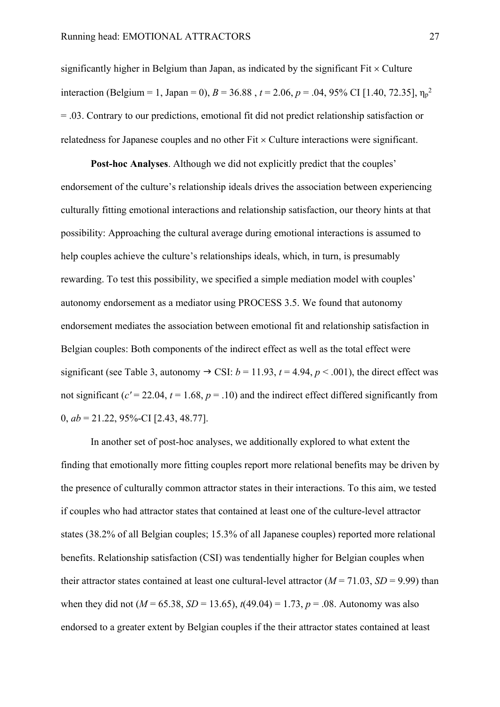significantly higher in Belgium than Japan, as indicated by the significant  $Fit \times Culture$ interaction (Belgium = 1, Japan = 0),  $B = 36.88$ ,  $t = 2.06$ ,  $p = .04$ , 95% CI [1.40, 72.35],  $\eta_p^2$ = .03. Contrary to our predictions, emotional fit did not predict relationship satisfaction or relatedness for Japanese couples and no other  $Fit \times Culture$  interactions were significant.

**Post-hoc Analyses**. Although we did not explicitly predict that the couples' endorsement of the culture's relationship ideals drives the association between experiencing culturally fitting emotional interactions and relationship satisfaction, our theory hints at that possibility: Approaching the cultural average during emotional interactions is assumed to help couples achieve the culture's relationships ideals, which, in turn, is presumably rewarding. To test this possibility, we specified a simple mediation model with couples' autonomy endorsement as a mediator using PROCESS 3.5. We found that autonomy endorsement mediates the association between emotional fit and relationship satisfaction in Belgian couples: Both components of the indirect effect as well as the total effect were significant (see Table 3, autonomy  $\rightarrow$  CSI:  $b = 11.93$ ,  $t = 4.94$ ,  $p < .001$ ), the direct effect was not significant ( $c' = 22.04$ ,  $t = 1.68$ ,  $p = .10$ ) and the indirect effect differed significantly from 0, *ab* = 21.22, 95%-CI [2.43, 48.77].

In another set of post-hoc analyses, we additionally explored to what extent the finding that emotionally more fitting couples report more relational benefits may be driven by the presence of culturally common attractor states in their interactions. To this aim, we tested if couples who had attractor states that contained at least one of the culture-level attractor states (38.2% of all Belgian couples; 15.3% of all Japanese couples) reported more relational benefits. Relationship satisfaction (CSI) was tendentially higher for Belgian couples when their attractor states contained at least one cultural-level attractor  $(M = 71.03, SD = 9.99)$  than when they did not ( $M = 65.38$ ,  $SD = 13.65$ ),  $t(49.04) = 1.73$ ,  $p = .08$ . Autonomy was also endorsed to a greater extent by Belgian couples if the their attractor states contained at least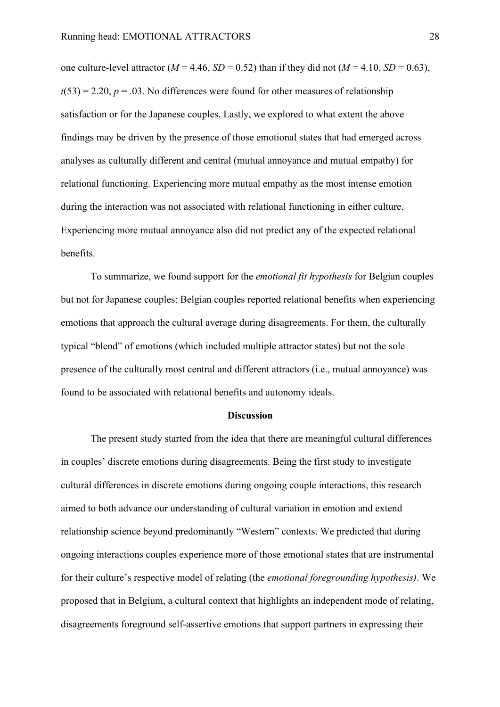one culture-level attractor ( $M = 4.46$ ,  $SD = 0.52$ ) than if they did not ( $M = 4.10$ ,  $SD = 0.63$ ),  $t(53) = 2.20$ ,  $p = .03$ . No differences were found for other measures of relationship satisfaction or for the Japanese couples. Lastly, we explored to what extent the above findings may be driven by the presence of those emotional states that had emerged across analyses as culturally different and central (mutual annoyance and mutual empathy) for relational functioning. Experiencing more mutual empathy as the most intense emotion during the interaction was not associated with relational functioning in either culture. Experiencing more mutual annoyance also did not predict any of the expected relational benefits.

To summarize, we found support for the *emotional fit hypothesis* for Belgian couples but not for Japanese couples: Belgian couples reported relational benefits when experiencing emotions that approach the cultural average during disagreements. For them, the culturally typical "blend" of emotions (which included multiple attractor states) but not the sole presence of the culturally most central and different attractors (i.e., mutual annoyance) was found to be associated with relational benefits and autonomy ideals.

#### **Discussion**

The present study started from the idea that there are meaningful cultural differences in couples' discrete emotions during disagreements. Being the first study to investigate cultural differences in discrete emotions during ongoing couple interactions, this research aimed to both advance our understanding of cultural variation in emotion and extend relationship science beyond predominantly "Western" contexts. We predicted that during ongoing interactions couples experience more of those emotional states that are instrumental for their culture's respective model of relating (the *emotional foregrounding hypothesis)*. We proposed that in Belgium, a cultural context that highlights an independent mode of relating, disagreements foreground self-assertive emotions that support partners in expressing their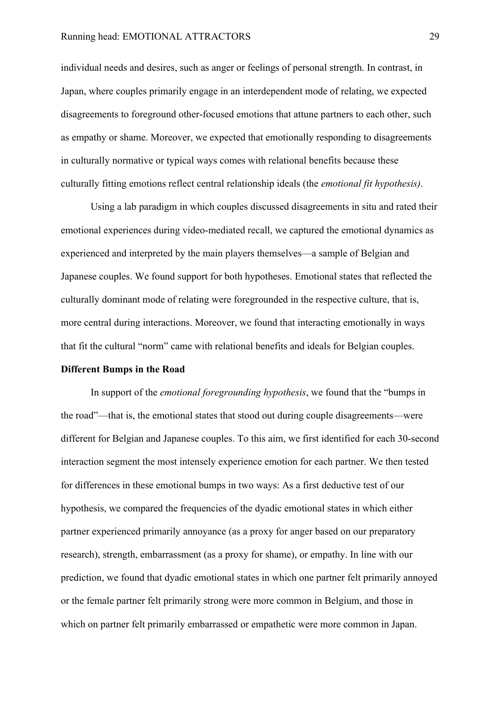individual needs and desires, such as anger or feelings of personal strength. In contrast, in Japan, where couples primarily engage in an interdependent mode of relating, we expected disagreements to foreground other-focused emotions that attune partners to each other, such as empathy or shame. Moreover, we expected that emotionally responding to disagreements in culturally normative or typical ways comes with relational benefits because these culturally fitting emotions reflect central relationship ideals (the *emotional fit hypothesis)*.

Using a lab paradigm in which couples discussed disagreements in situ and rated their emotional experiences during video-mediated recall, we captured the emotional dynamics as experienced and interpreted by the main players themselves—a sample of Belgian and Japanese couples. We found support for both hypotheses. Emotional states that reflected the culturally dominant mode of relating were foregrounded in the respective culture, that is, more central during interactions. Moreover, we found that interacting emotionally in ways that fit the cultural "norm" came with relational benefits and ideals for Belgian couples.

#### **Different Bumps in the Road**

In support of the *emotional foregrounding hypothesis*, we found that the "bumps in the road"—that is, the emotional states that stood out during couple disagreements—were different for Belgian and Japanese couples. To this aim, we first identified for each 30-second interaction segment the most intensely experience emotion for each partner. We then tested for differences in these emotional bumps in two ways: As a first deductive test of our hypothesis, we compared the frequencies of the dyadic emotional states in which either partner experienced primarily annoyance (as a proxy for anger based on our preparatory research), strength, embarrassment (as a proxy for shame), or empathy. In line with our prediction, we found that dyadic emotional states in which one partner felt primarily annoyed or the female partner felt primarily strong were more common in Belgium, and those in which on partner felt primarily embarrassed or empathetic were more common in Japan.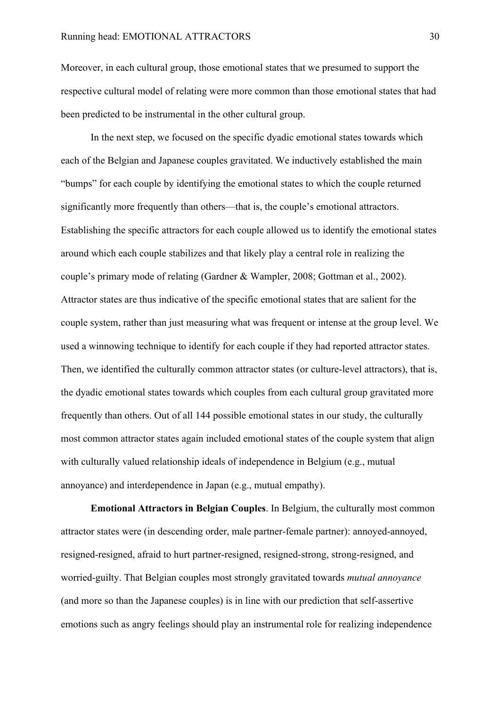Moreover, in each cultural group, those emotional states that we presumed to support the respective cultural model of relating were more common than those emotional states that had been predicted to be instrumental in the other cultural group.

In the next step, we focused on the specific dyadic emotional states towards which each of the Belgian and Japanese couples gravitated. We inductively established the main "bumps" for each couple by identifying the emotional states to which the couple returned significantly more frequently than others—that is, the couple's emotional attractors. Establishing the specific attractors for each couple allowed us to identify the emotional states around which each couple stabilizes and that likely play a central role in realizing the couple's primary mode of relating (Gardner & Wampler, 2008; Gottman et al., 2002). Attractor states are thus indicative of the specific emotional states that are salient for the couple system, rather than just measuring what was frequent or intense at the group level. We used a winnowing technique to identify for each couple if they had reported attractor states. Then, we identified the culturally common attractor states (or culture-level attractors), that is, the dyadic emotional states towards which couples from each cultural group gravitated more frequently than others. Out of all 144 possible emotional states in our study, the culturally most common attractor states again included emotional states of the couple system that align with culturally valued relationship ideals of independence in Belgium (e.g., mutual annoyance) and interdependence in Japan (e.g., mutual empathy).

**Emotional Attractors in Belgian Couples**. In Belgium, the culturally most common attractor states were (in descending order, male partner-female partner): annoyed-annoyed, resigned-resigned, afraid to hurt partner-resigned, resigned-strong, strong-resigned, and worried-guilty. That Belgian couples most strongly gravitated towards *mutual annoyance*  (and more so than the Japanese couples) is in line with our prediction that self-assertive emotions such as angry feelings should play an instrumental role for realizing independence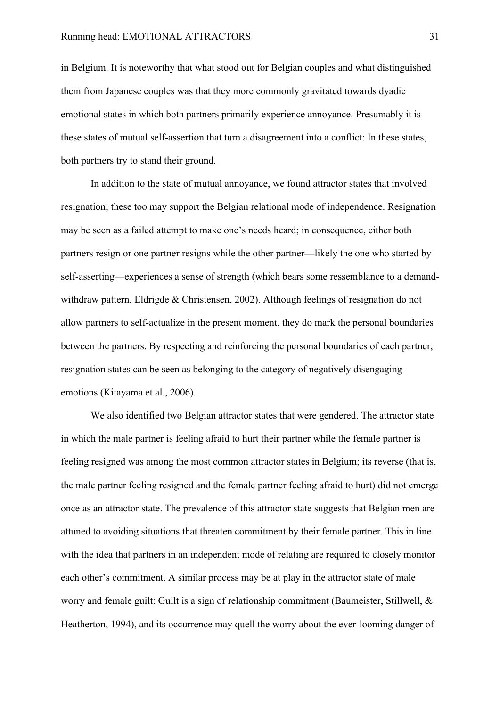in Belgium. It is noteworthy that what stood out for Belgian couples and what distinguished them from Japanese couples was that they more commonly gravitated towards dyadic emotional states in which both partners primarily experience annoyance. Presumably it is these states of mutual self-assertion that turn a disagreement into a conflict: In these states, both partners try to stand their ground.

In addition to the state of mutual annoyance, we found attractor states that involved resignation; these too may support the Belgian relational mode of independence. Resignation may be seen as a failed attempt to make one's needs heard; in consequence, either both partners resign or one partner resigns while the other partner—likely the one who started by self-asserting—experiences a sense of strength (which bears some ressemblance to a demandwithdraw pattern, Eldrigde & Christensen, 2002). Although feelings of resignation do not allow partners to self-actualize in the present moment, they do mark the personal boundaries between the partners. By respecting and reinforcing the personal boundaries of each partner, resignation states can be seen as belonging to the category of negatively disengaging emotions (Kitayama et al., 2006).

We also identified two Belgian attractor states that were gendered. The attractor state in which the male partner is feeling afraid to hurt their partner while the female partner is feeling resigned was among the most common attractor states in Belgium; its reverse (that is, the male partner feeling resigned and the female partner feeling afraid to hurt) did not emerge once as an attractor state. The prevalence of this attractor state suggests that Belgian men are attuned to avoiding situations that threaten commitment by their female partner. This in line with the idea that partners in an independent mode of relating are required to closely monitor each other's commitment. A similar process may be at play in the attractor state of male worry and female guilt: Guilt is a sign of relationship commitment (Baumeister, Stillwell, & Heatherton, 1994), and its occurrence may quell the worry about the ever-looming danger of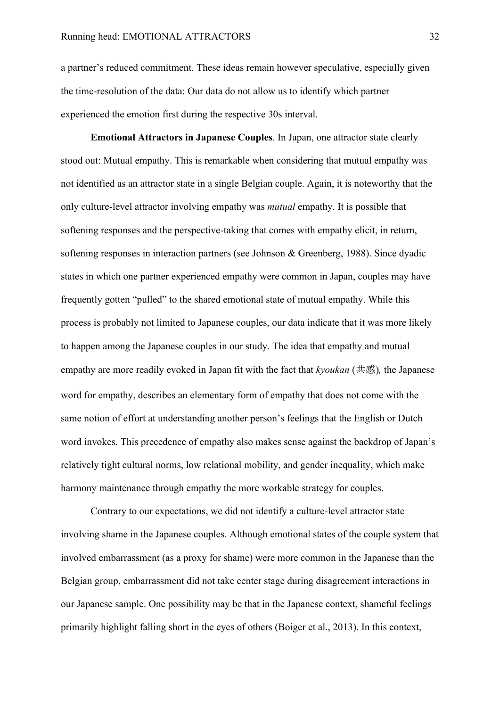a partner's reduced commitment. These ideas remain however speculative, especially given the time-resolution of the data: Our data do not allow us to identify which partner experienced the emotion first during the respective 30s interval.

**Emotional Attractors in Japanese Couples**. In Japan, one attractor state clearly stood out: Mutual empathy. This is remarkable when considering that mutual empathy was not identified as an attractor state in a single Belgian couple. Again, it is noteworthy that the only culture-level attractor involving empathy was *mutual* empathy. It is possible that softening responses and the perspective-taking that comes with empathy elicit, in return, softening responses in interaction partners (see Johnson & Greenberg, 1988). Since dyadic states in which one partner experienced empathy were common in Japan, couples may have frequently gotten "pulled" to the shared emotional state of mutual empathy. While this process is probably not limited to Japanese couples, our data indicate that it was more likely to happen among the Japanese couples in our study. The idea that empathy and mutual empathy are more readily evoked in Japan fit with the fact that *kyoukan* (共感)*,* the Japanese word for empathy, describes an elementary form of empathy that does not come with the same notion of effort at understanding another person's feelings that the English or Dutch word invokes. This precedence of empathy also makes sense against the backdrop of Japan's relatively tight cultural norms, low relational mobility, and gender inequality, which make harmony maintenance through empathy the more workable strategy for couples.

Contrary to our expectations, we did not identify a culture-level attractor state involving shame in the Japanese couples. Although emotional states of the couple system that involved embarrassment (as a proxy for shame) were more common in the Japanese than the Belgian group, embarrassment did not take center stage during disagreement interactions in our Japanese sample. One possibility may be that in the Japanese context, shameful feelings primarily highlight falling short in the eyes of others (Boiger et al., 2013). In this context,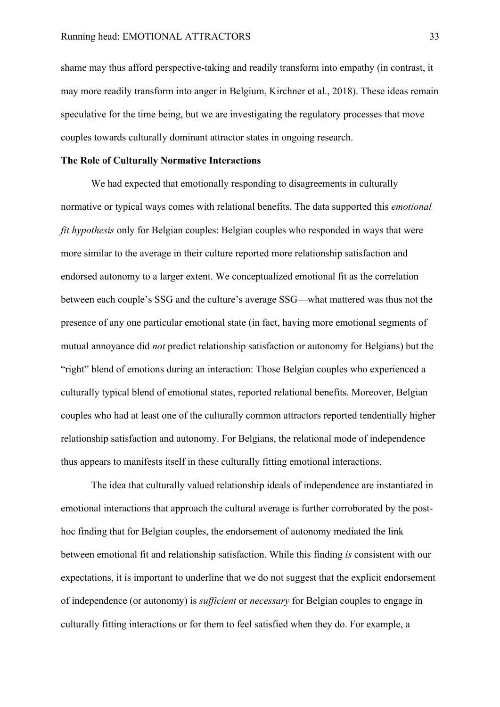shame may thus afford perspective-taking and readily transform into empathy (in contrast, it may more readily transform into anger in Belgium, Kirchner et al., 2018). These ideas remain speculative for the time being, but we are investigating the regulatory processes that move couples towards culturally dominant attractor states in ongoing research.

#### **The Role of Culturally Normative Interactions**

We had expected that emotionally responding to disagreements in culturally normative or typical ways comes with relational benefits. The data supported this *emotional fit hypothesis* only for Belgian couples: Belgian couples who responded in ways that were more similar to the average in their culture reported more relationship satisfaction and endorsed autonomy to a larger extent. We conceptualized emotional fit as the correlation between each couple's SSG and the culture's average SSG—what mattered was thus not the presence of any one particular emotional state (in fact, having more emotional segments of mutual annoyance did *not* predict relationship satisfaction or autonomy for Belgians) but the "right" blend of emotions during an interaction: Those Belgian couples who experienced a culturally typical blend of emotional states, reported relational benefits. Moreover, Belgian couples who had at least one of the culturally common attractors reported tendentially higher relationship satisfaction and autonomy. For Belgians, the relational mode of independence thus appears to manifests itself in these culturally fitting emotional interactions.

The idea that culturally valued relationship ideals of independence are instantiated in emotional interactions that approach the cultural average is further corroborated by the posthoc finding that for Belgian couples, the endorsement of autonomy mediated the link between emotional fit and relationship satisfaction. While this finding *is* consistent with our expectations, it is important to underline that we do not suggest that the explicit endorsement of independence (or autonomy) is *sufficient* or *necessary* for Belgian couples to engage in culturally fitting interactions or for them to feel satisfied when they do. For example, a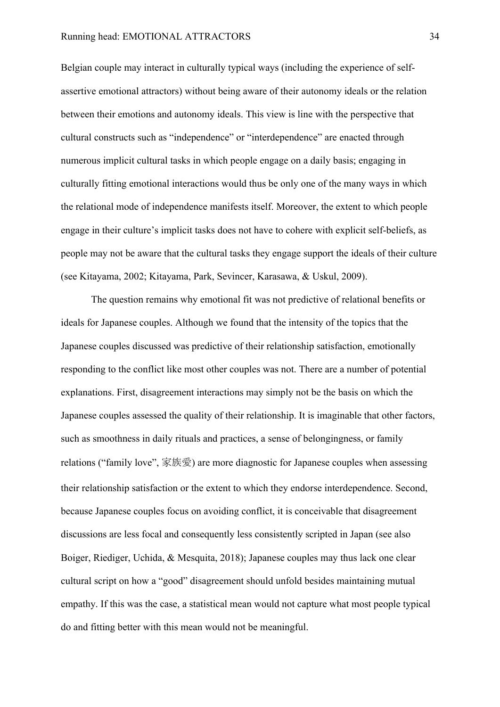Belgian couple may interact in culturally typical ways (including the experience of selfassertive emotional attractors) without being aware of their autonomy ideals or the relation between their emotions and autonomy ideals. This view is line with the perspective that cultural constructs such as "independence" or "interdependence" are enacted through numerous implicit cultural tasks in which people engage on a daily basis; engaging in culturally fitting emotional interactions would thus be only one of the many ways in which the relational mode of independence manifests itself. Moreover, the extent to which people engage in their culture's implicit tasks does not have to cohere with explicit self-beliefs, as people may not be aware that the cultural tasks they engage support the ideals of their culture (see Kitayama, 2002; Kitayama, Park, Sevincer, Karasawa, & Uskul, 2009).

The question remains why emotional fit was not predictive of relational benefits or ideals for Japanese couples. Although we found that the intensity of the topics that the Japanese couples discussed was predictive of their relationship satisfaction, emotionally responding to the conflict like most other couples was not. There are a number of potential explanations. First, disagreement interactions may simply not be the basis on which the Japanese couples assessed the quality of their relationship. It is imaginable that other factors, such as smoothness in daily rituals and practices, a sense of belongingness, or family relations ("family love", 家族愛) are more diagnostic for Japanese couples when assessing their relationship satisfaction or the extent to which they endorse interdependence. Second, because Japanese couples focus on avoiding conflict, it is conceivable that disagreement discussions are less focal and consequently less consistently scripted in Japan (see also Boiger, Riediger, Uchida, & Mesquita, 2018); Japanese couples may thus lack one clear cultural script on how a "good" disagreement should unfold besides maintaining mutual empathy. If this was the case, a statistical mean would not capture what most people typical do and fitting better with this mean would not be meaningful.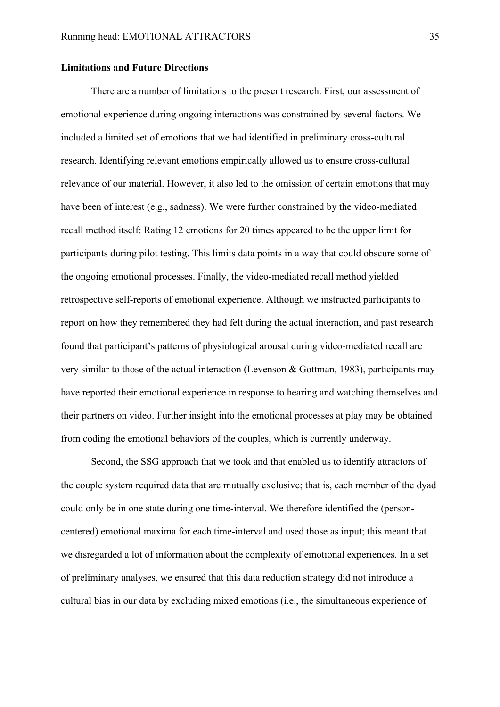#### **Limitations and Future Directions**

There are a number of limitations to the present research. First, our assessment of emotional experience during ongoing interactions was constrained by several factors. We included a limited set of emotions that we had identified in preliminary cross-cultural research. Identifying relevant emotions empirically allowed us to ensure cross-cultural relevance of our material. However, it also led to the omission of certain emotions that may have been of interest (e.g., sadness). We were further constrained by the video-mediated recall method itself: Rating 12 emotions for 20 times appeared to be the upper limit for participants during pilot testing. This limits data points in a way that could obscure some of the ongoing emotional processes. Finally, the video-mediated recall method yielded retrospective self-reports of emotional experience. Although we instructed participants to report on how they remembered they had felt during the actual interaction, and past research found that participant's patterns of physiological arousal during video-mediated recall are very similar to those of the actual interaction (Levenson & Gottman, 1983), participants may have reported their emotional experience in response to hearing and watching themselves and their partners on video. Further insight into the emotional processes at play may be obtained from coding the emotional behaviors of the couples, which is currently underway.

Second, the SSG approach that we took and that enabled us to identify attractors of the couple system required data that are mutually exclusive; that is, each member of the dyad could only be in one state during one time-interval. We therefore identified the (personcentered) emotional maxima for each time-interval and used those as input; this meant that we disregarded a lot of information about the complexity of emotional experiences. In a set of preliminary analyses, we ensured that this data reduction strategy did not introduce a cultural bias in our data by excluding mixed emotions (i.e., the simultaneous experience of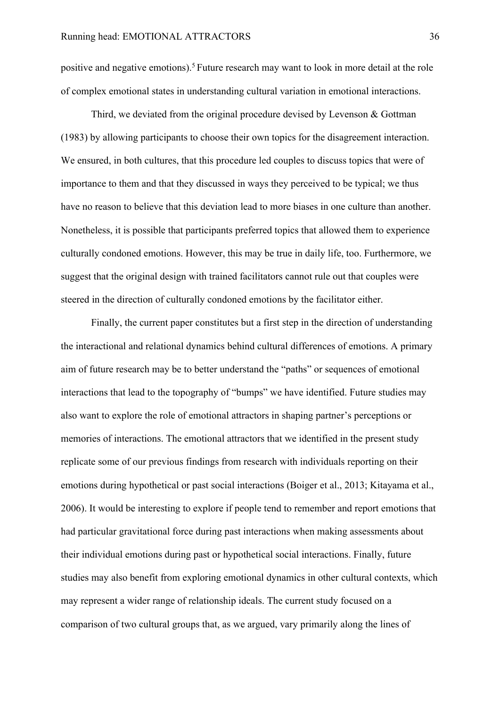positive and negative emotions).5 Future research may want to look in more detail at the role of complex emotional states in understanding cultural variation in emotional interactions.

Third, we deviated from the original procedure devised by Levenson & Gottman (1983) by allowing participants to choose their own topics for the disagreement interaction. We ensured, in both cultures, that this procedure led couples to discuss topics that were of importance to them and that they discussed in ways they perceived to be typical; we thus have no reason to believe that this deviation lead to more biases in one culture than another. Nonetheless, it is possible that participants preferred topics that allowed them to experience culturally condoned emotions. However, this may be true in daily life, too. Furthermore, we suggest that the original design with trained facilitators cannot rule out that couples were steered in the direction of culturally condoned emotions by the facilitator either.

Finally, the current paper constitutes but a first step in the direction of understanding the interactional and relational dynamics behind cultural differences of emotions. A primary aim of future research may be to better understand the "paths" or sequences of emotional interactions that lead to the topography of "bumps" we have identified. Future studies may also want to explore the role of emotional attractors in shaping partner's perceptions or memories of interactions. The emotional attractors that we identified in the present study replicate some of our previous findings from research with individuals reporting on their emotions during hypothetical or past social interactions (Boiger et al., 2013; Kitayama et al., 2006). It would be interesting to explore if people tend to remember and report emotions that had particular gravitational force during past interactions when making assessments about their individual emotions during past or hypothetical social interactions. Finally, future studies may also benefit from exploring emotional dynamics in other cultural contexts, which may represent a wider range of relationship ideals. The current study focused on a comparison of two cultural groups that, as we argued, vary primarily along the lines of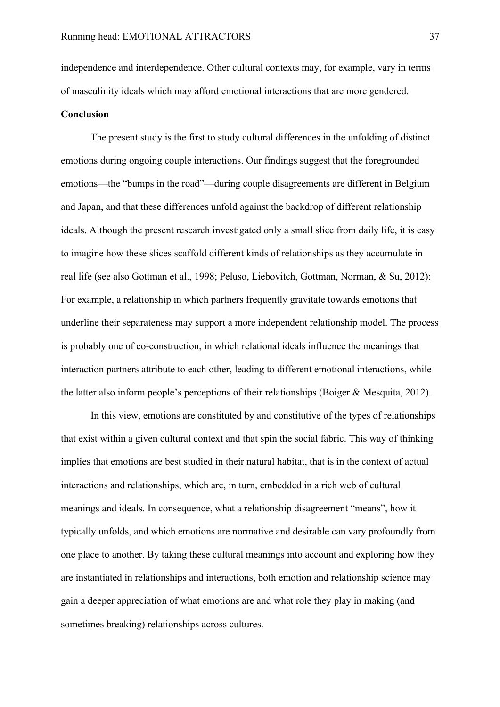independence and interdependence. Other cultural contexts may, for example, vary in terms of masculinity ideals which may afford emotional interactions that are more gendered.

#### **Conclusion**

The present study is the first to study cultural differences in the unfolding of distinct emotions during ongoing couple interactions. Our findings suggest that the foregrounded emotions—the "bumps in the road"—during couple disagreements are different in Belgium and Japan, and that these differences unfold against the backdrop of different relationship ideals. Although the present research investigated only a small slice from daily life, it is easy to imagine how these slices scaffold different kinds of relationships as they accumulate in real life (see also Gottman et al., 1998; Peluso, Liebovitch, Gottman, Norman, & Su, 2012): For example, a relationship in which partners frequently gravitate towards emotions that underline their separateness may support a more independent relationship model. The process is probably one of co-construction, in which relational ideals influence the meanings that interaction partners attribute to each other, leading to different emotional interactions, while the latter also inform people's perceptions of their relationships (Boiger & Mesquita, 2012).

In this view, emotions are constituted by and constitutive of the types of relationships that exist within a given cultural context and that spin the social fabric. This way of thinking implies that emotions are best studied in their natural habitat, that is in the context of actual interactions and relationships, which are, in turn, embedded in a rich web of cultural meanings and ideals. In consequence, what a relationship disagreement "means", how it typically unfolds, and which emotions are normative and desirable can vary profoundly from one place to another. By taking these cultural meanings into account and exploring how they are instantiated in relationships and interactions, both emotion and relationship science may gain a deeper appreciation of what emotions are and what role they play in making (and sometimes breaking) relationships across cultures.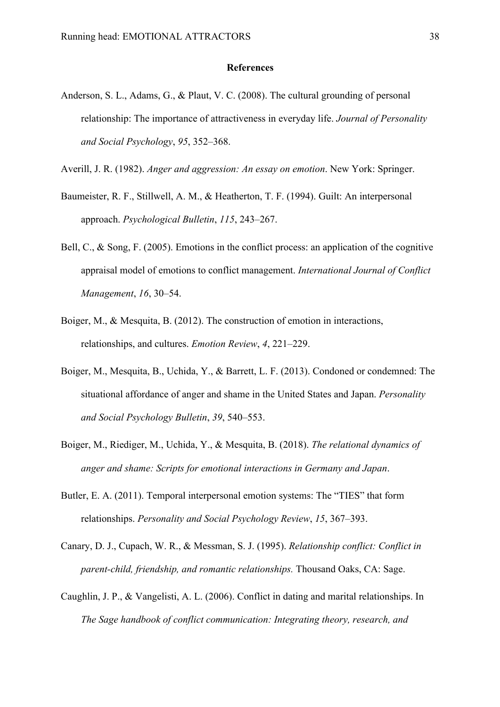#### **References**

Anderson, S. L., Adams, G., & Plaut, V. C. (2008). The cultural grounding of personal relationship: The importance of attractiveness in everyday life. *Journal of Personality and Social Psychology*, *95*, 352–368.

Averill, J. R. (1982). *Anger and aggression: An essay on emotion*. New York: Springer.

- Baumeister, R. F., Stillwell, A. M., & Heatherton, T. F. (1994). Guilt: An interpersonal approach. *Psychological Bulletin*, *115*, 243–267.
- Bell, C., & Song, F. (2005). Emotions in the conflict process: an application of the cognitive appraisal model of emotions to conflict management. *International Journal of Conflict Management*, *16*, 30–54.
- Boiger, M., & Mesquita, B. (2012). The construction of emotion in interactions, relationships, and cultures. *Emotion Review*, *4*, 221–229.
- Boiger, M., Mesquita, B., Uchida, Y., & Barrett, L. F. (2013). Condoned or condemned: The situational affordance of anger and shame in the United States and Japan. *Personality and Social Psychology Bulletin*, *39*, 540–553.
- Boiger, M., Riediger, M., Uchida, Y., & Mesquita, B. (2018). *The relational dynamics of anger and shame: Scripts for emotional interactions in Germany and Japan*.
- Butler, E. A. (2011). Temporal interpersonal emotion systems: The "TIES" that form relationships. *Personality and Social Psychology Review*, *15*, 367–393.
- Canary, D. J., Cupach, W. R., & Messman, S. J. (1995). *Relationship conflict: Conflict in parent-child, friendship, and romantic relationships.* Thousand Oaks, CA: Sage.
- Caughlin, J. P., & Vangelisti, A. L. (2006). Conflict in dating and marital relationships. In *The Sage handbook of conflict communication: Integrating theory, research, and*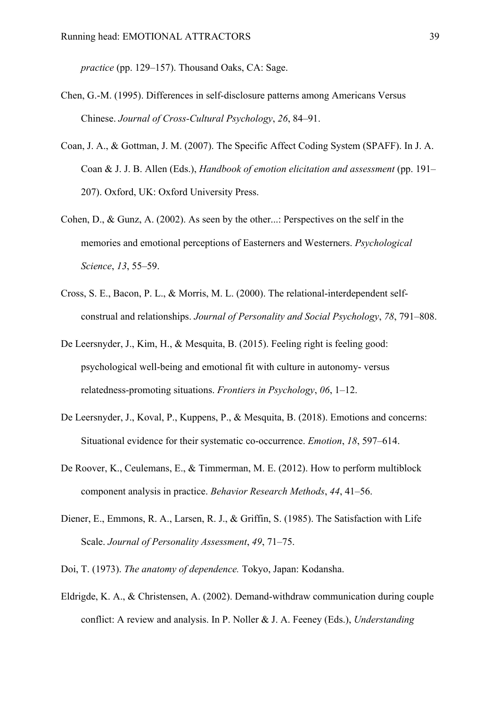*practice* (pp. 129–157). Thousand Oaks, CA: Sage.

- Chen, G.-M. (1995). Differences in self-disclosure patterns among Americans Versus Chinese. *Journal of Cross-Cultural Psychology*, *26*, 84–91.
- Coan, J. A., & Gottman, J. M. (2007). The Specific Affect Coding System (SPAFF). In J. A. Coan & J. J. B. Allen (Eds.), *Handbook of emotion elicitation and assessment* (pp. 191– 207). Oxford, UK: Oxford University Press.
- Cohen, D., & Gunz, A. (2002). As seen by the other...: Perspectives on the self in the memories and emotional perceptions of Easterners and Westerners. *Psychological Science*, *13*, 55–59.
- Cross, S. E., Bacon, P. L., & Morris, M. L. (2000). The relational-interdependent selfconstrual and relationships. *Journal of Personality and Social Psychology*, *78*, 791–808.
- De Leersnyder, J., Kim, H., & Mesquita, B. (2015). Feeling right is feeling good: psychological well-being and emotional fit with culture in autonomy- versus relatedness-promoting situations. *Frontiers in Psychology*, *06*, 1–12.
- De Leersnyder, J., Koval, P., Kuppens, P., & Mesquita, B. (2018). Emotions and concerns: Situational evidence for their systematic co-occurrence. *Emotion*, *18*, 597–614.
- De Roover, K., Ceulemans, E., & Timmerman, M. E. (2012). How to perform multiblock component analysis in practice. *Behavior Research Methods*, *44*, 41–56.
- Diener, E., Emmons, R. A., Larsen, R. J., & Griffin, S. (1985). The Satisfaction with Life Scale. *Journal of Personality Assessment*, *49*, 71–75.
- Doi, T. (1973). *The anatomy of dependence.* Tokyo, Japan: Kodansha.
- Eldrigde, K. A., & Christensen, A. (2002). Demand-withdraw communication during couple conflict: A review and analysis. In P. Noller & J. A. Feeney (Eds.), *Understanding*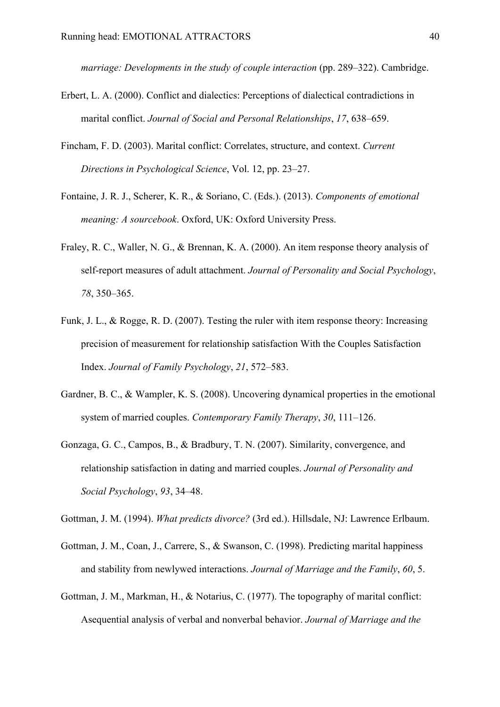*marriage: Developments in the study of couple interaction* (pp. 289–322). Cambridge.

- Erbert, L. A. (2000). Conflict and dialectics: Perceptions of dialectical contradictions in marital conflict. *Journal of Social and Personal Relationships*, *17*, 638–659.
- Fincham, F. D. (2003). Marital conflict: Correlates, structure, and context. *Current Directions in Psychological Science*, Vol. 12, pp. 23–27.
- Fontaine, J. R. J., Scherer, K. R., & Soriano, C. (Eds.). (2013). *Components of emotional meaning: A sourcebook*. Oxford, UK: Oxford University Press.
- Fraley, R. C., Waller, N. G., & Brennan, K. A. (2000). An item response theory analysis of self-report measures of adult attachment. *Journal of Personality and Social Psychology*, *78*, 350–365.
- Funk, J. L., & Rogge, R. D. (2007). Testing the ruler with item response theory: Increasing precision of measurement for relationship satisfaction With the Couples Satisfaction Index. *Journal of Family Psychology*, *21*, 572–583.
- Gardner, B. C., & Wampler, K. S. (2008). Uncovering dynamical properties in the emotional system of married couples. *Contemporary Family Therapy*, *30*, 111–126.
- Gonzaga, G. C., Campos, B., & Bradbury, T. N. (2007). Similarity, convergence, and relationship satisfaction in dating and married couples. *Journal of Personality and Social Psychology*, *93*, 34–48.

Gottman, J. M. (1994). *What predicts divorce?* (3rd ed.). Hillsdale, NJ: Lawrence Erlbaum.

- Gottman, J. M., Coan, J., Carrere, S., & Swanson, C. (1998). Predicting marital happiness and stability from newlywed interactions. *Journal of Marriage and the Family*, *60*, 5.
- Gottman, J. M., Markman, H., & Notarius, C. (1977). The topography of marital conflict: Asequential analysis of verbal and nonverbal behavior. *Journal of Marriage and the*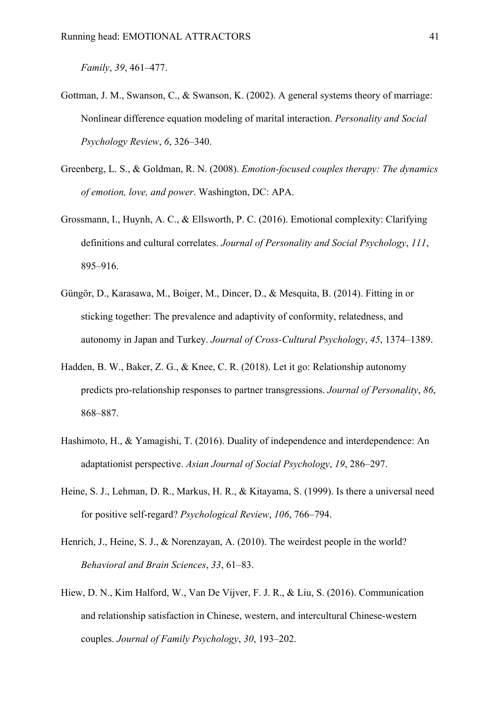*Family*, *39*, 461–477.

- Gottman, J. M., Swanson, C., & Swanson, K. (2002). A general systems theory of marriage: Nonlinear difference equation modeling of marital interaction. *Personality and Social Psychology Review*, *6*, 326–340.
- Greenberg, L. S., & Goldman, R. N. (2008). *Emotion-focused couples therapy: The dynamics of emotion, love, and power*. Washington, DC: APA.
- Grossmann, I., Huynh, A. C., & Ellsworth, P. C. (2016). Emotional complexity: Clarifying definitions and cultural correlates. *Journal of Personality and Social Psychology*, *111*, 895–916.
- Güngör, D., Karasawa, M., Boiger, M., Dincer, D., & Mesquita, B. (2014). Fitting in or sticking together: The prevalence and adaptivity of conformity, relatedness, and autonomy in Japan and Turkey. *Journal of Cross-Cultural Psychology*, *45*, 1374–1389.
- Hadden, B. W., Baker, Z. G., & Knee, C. R. (2018). Let it go: Relationship autonomy predicts pro-relationship responses to partner transgressions. *Journal of Personality*, *86*, 868–887.
- Hashimoto, H., & Yamagishi, T. (2016). Duality of independence and interdependence: An adaptationist perspective. *Asian Journal of Social Psychology*, *19*, 286–297.
- Heine, S. J., Lehman, D. R., Markus, H. R., & Kitayama, S. (1999). Is there a universal need for positive self-regard? *Psychological Review*, *106*, 766–794.
- Henrich, J., Heine, S. J., & Norenzayan, A. (2010). The weirdest people in the world? *Behavioral and Brain Sciences*, *33*, 61–83.
- Hiew, D. N., Kim Halford, W., Van De Vijver, F. J. R., & Liu, S. (2016). Communication and relationship satisfaction in Chinese, western, and intercultural Chinese-western couples. *Journal of Family Psychology*, *30*, 193–202.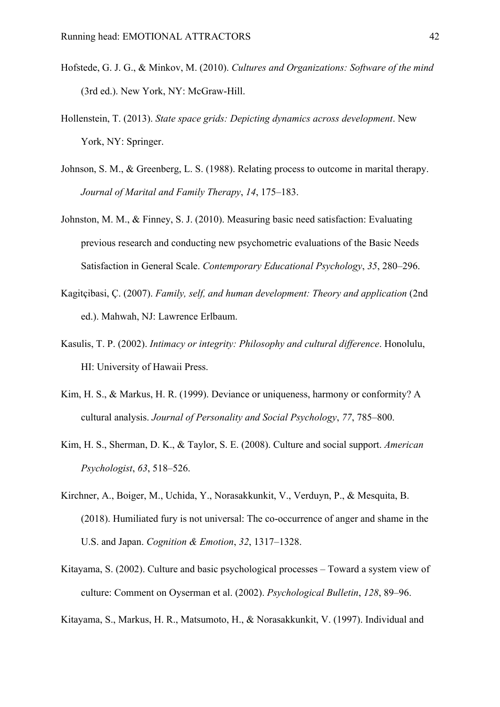- Hofstede, G. J. G., & Minkov, M. (2010). *Cultures and Organizations: Software of the mind* (3rd ed.). New York, NY: McGraw-Hill.
- Hollenstein, T. (2013). *State space grids: Depicting dynamics across development*. New York, NY: Springer.
- Johnson, S. M., & Greenberg, L. S. (1988). Relating process to outcome in marital therapy. *Journal of Marital and Family Therapy*, *14*, 175–183.
- Johnston, M. M., & Finney, S. J. (2010). Measuring basic need satisfaction: Evaluating previous research and conducting new psychometric evaluations of the Basic Needs Satisfaction in General Scale. *Contemporary Educational Psychology*, *35*, 280–296.
- Kagitçibasi, Ç. (2007). *Family, self, and human development: Theory and application* (2nd ed.). Mahwah, NJ: Lawrence Erlbaum.
- Kasulis, T. P. (2002). *Intimacy or integrity: Philosophy and cultural difference*. Honolulu, HI: University of Hawaii Press.
- Kim, H. S., & Markus, H. R. (1999). Deviance or uniqueness, harmony or conformity? A cultural analysis. *Journal of Personality and Social Psychology*, *77*, 785–800.
- Kim, H. S., Sherman, D. K., & Taylor, S. E. (2008). Culture and social support. *American Psychologist*, *63*, 518–526.
- Kirchner, A., Boiger, M., Uchida, Y., Norasakkunkit, V., Verduyn, P., & Mesquita, B. (2018). Humiliated fury is not universal: The co-occurrence of anger and shame in the U.S. and Japan. *Cognition & Emotion*, *32*, 1317–1328.
- Kitayama, S. (2002). Culture and basic psychological processes Toward a system view of culture: Comment on Oyserman et al. (2002). *Psychological Bulletin*, *128*, 89–96.
- Kitayama, S., Markus, H. R., Matsumoto, H., & Norasakkunkit, V. (1997). Individual and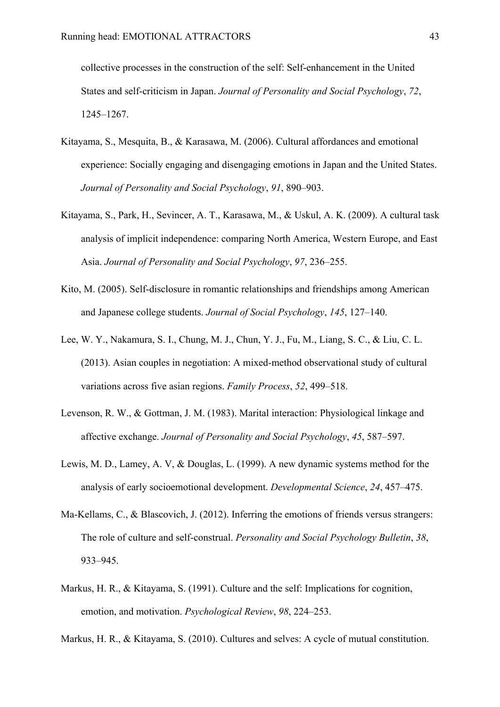collective processes in the construction of the self: Self-enhancement in the United States and self-criticism in Japan. *Journal of Personality and Social Psychology*, *72*, 1245–1267.

- Kitayama, S., Mesquita, B., & Karasawa, M. (2006). Cultural affordances and emotional experience: Socially engaging and disengaging emotions in Japan and the United States. *Journal of Personality and Social Psychology*, *91*, 890–903.
- Kitayama, S., Park, H., Sevincer, A. T., Karasawa, M., & Uskul, A. K. (2009). A cultural task analysis of implicit independence: comparing North America, Western Europe, and East Asia. *Journal of Personality and Social Psychology*, *97*, 236–255.
- Kito, M. (2005). Self-disclosure in romantic relationships and friendships among American and Japanese college students. *Journal of Social Psychology*, *145*, 127–140.
- Lee, W. Y., Nakamura, S. I., Chung, M. J., Chun, Y. J., Fu, M., Liang, S. C., & Liu, C. L. (2013). Asian couples in negotiation: A mixed-method observational study of cultural variations across five asian regions. *Family Process*, *52*, 499–518.
- Levenson, R. W., & Gottman, J. M. (1983). Marital interaction: Physiological linkage and affective exchange. *Journal of Personality and Social Psychology*, *45*, 587–597.
- Lewis, M. D., Lamey, A. V, & Douglas, L. (1999). A new dynamic systems method for the analysis of early socioemotional development. *Developmental Science*, *24*, 457–475.
- Ma-Kellams, C., & Blascovich, J. (2012). Inferring the emotions of friends versus strangers: The role of culture and self-construal. *Personality and Social Psychology Bulletin*, *38*, 933–945.
- Markus, H. R., & Kitayama, S. (1991). Culture and the self: Implications for cognition, emotion, and motivation. *Psychological Review*, *98*, 224–253.

Markus, H. R., & Kitayama, S. (2010). Cultures and selves: A cycle of mutual constitution.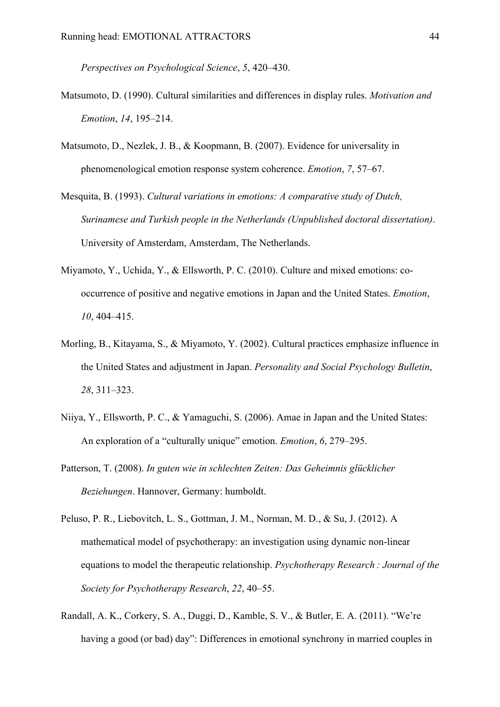*Perspectives on Psychological Science*, *5*, 420–430.

- Matsumoto, D. (1990). Cultural similarities and differences in display rules. *Motivation and Emotion*, *14*, 195–214.
- Matsumoto, D., Nezlek, J. B., & Koopmann, B. (2007). Evidence for universality in phenomenological emotion response system coherence. *Emotion*, *7*, 57–67.
- Mesquita, B. (1993). *Cultural variations in emotions: A comparative study of Dutch, Surinamese and Turkish people in the Netherlands (Unpublished doctoral dissertation)*. University of Amsterdam, Amsterdam, The Netherlands.
- Miyamoto, Y., Uchida, Y., & Ellsworth, P. C. (2010). Culture and mixed emotions: cooccurrence of positive and negative emotions in Japan and the United States. *Emotion*, *10*, 404–415.
- Morling, B., Kitayama, S., & Miyamoto, Y. (2002). Cultural practices emphasize influence in the United States and adjustment in Japan. *Personality and Social Psychology Bulletin*, *28*, 311–323.
- Niiya, Y., Ellsworth, P. C., & Yamaguchi, S. (2006). Amae in Japan and the United States: An exploration of a "culturally unique" emotion. *Emotion*, *6*, 279–295.
- Patterson, T. (2008). *In guten wie in schlechten Zeiten: Das Geheimnis glücklicher Beziehungen*. Hannover, Germany: humboldt.
- Peluso, P. R., Liebovitch, L. S., Gottman, J. M., Norman, M. D., & Su, J. (2012). A mathematical model of psychotherapy: an investigation using dynamic non-linear equations to model the therapeutic relationship. *Psychotherapy Research : Journal of the Society for Psychotherapy Research*, *22*, 40–55.
- Randall, A. K., Corkery, S. A., Duggi, D., Kamble, S. V., & Butler, E. A. (2011). "We're having a good (or bad) day": Differences in emotional synchrony in married couples in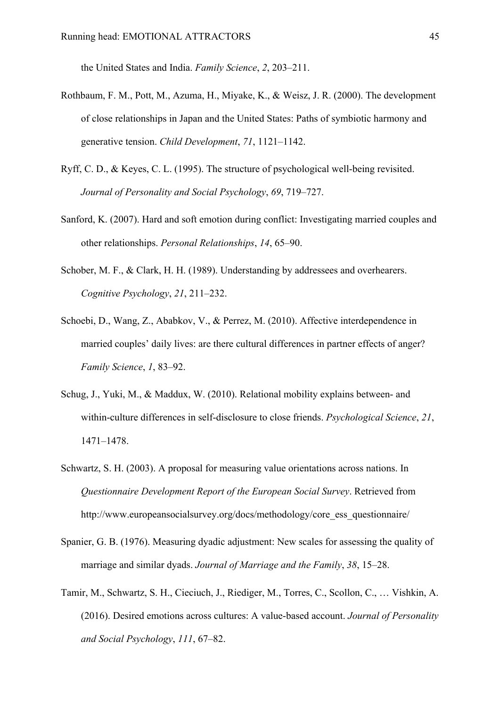the United States and India. *Family Science*, *2*, 203–211.

- Rothbaum, F. M., Pott, M., Azuma, H., Miyake, K., & Weisz, J. R. (2000). The development of close relationships in Japan and the United States: Paths of symbiotic harmony and generative tension. *Child Development*, *71*, 1121–1142.
- Ryff, C. D., & Keyes, C. L. (1995). The structure of psychological well-being revisited. *Journal of Personality and Social Psychology*, *69*, 719–727.
- Sanford, K. (2007). Hard and soft emotion during conflict: Investigating married couples and other relationships. *Personal Relationships*, *14*, 65–90.
- Schober, M. F., & Clark, H. H. (1989). Understanding by addressees and overhearers. *Cognitive Psychology*, *21*, 211–232.
- Schoebi, D., Wang, Z., Ababkov, V., & Perrez, M. (2010). Affective interdependence in married couples' daily lives: are there cultural differences in partner effects of anger? *Family Science*, *1*, 83–92.
- Schug, J., Yuki, M., & Maddux, W. (2010). Relational mobility explains between- and within-culture differences in self-disclosure to close friends. *Psychological Science*, *21*, 1471–1478.
- Schwartz, S. H. (2003). A proposal for measuring value orientations across nations. In *Questionnaire Development Report of the European Social Survey*. Retrieved from http://www.europeansocialsurvey.org/docs/methodology/core\_ess\_questionnaire/
- Spanier, G. B. (1976). Measuring dyadic adjustment: New scales for assessing the quality of marriage and similar dyads. *Journal of Marriage and the Family*, *38*, 15–28.
- Tamir, M., Schwartz, S. H., Cieciuch, J., Riediger, M., Torres, C., Scollon, C., … Vishkin, A. (2016). Desired emotions across cultures: A value-based account. *Journal of Personality and Social Psychology*, *111*, 67–82.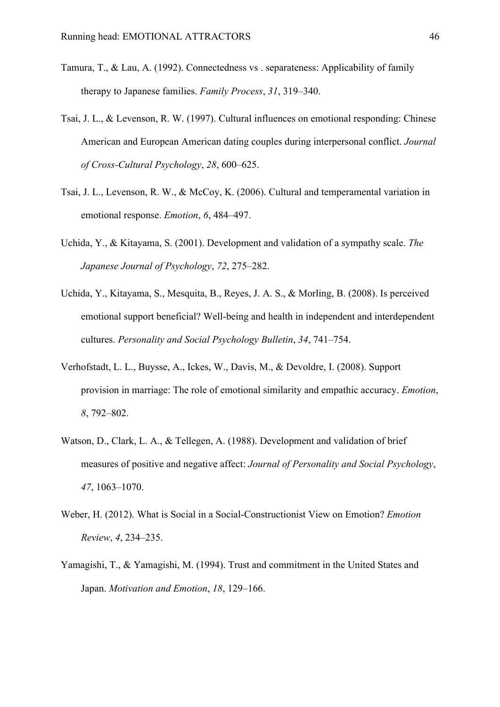- Tamura, T., & Lau, A. (1992). Connectedness vs . separateness: Applicability of family therapy to Japanese families. *Family Process*, *31*, 319–340.
- Tsai, J. L., & Levenson, R. W. (1997). Cultural influences on emotional responding: Chinese American and European American dating couples during interpersonal conflict. *Journal of Cross-Cultural Psychology*, *28*, 600–625.
- Tsai, J. L., Levenson, R. W., & McCoy, K. (2006). Cultural and temperamental variation in emotional response. *Emotion*, *6*, 484–497.
- Uchida, Y., & Kitayama, S. (2001). Development and validation of a sympathy scale. *The Japanese Journal of Psychology*, *72*, 275–282.
- Uchida, Y., Kitayama, S., Mesquita, B., Reyes, J. A. S., & Morling, B. (2008). Is perceived emotional support beneficial? Well-being and health in independent and interdependent cultures. *Personality and Social Psychology Bulletin*, *34*, 741–754.
- Verhofstadt, L. L., Buysse, A., Ickes, W., Davis, M., & Devoldre, I. (2008). Support provision in marriage: The role of emotional similarity and empathic accuracy. *Emotion*, *8*, 792–802.
- Watson, D., Clark, L. A., & Tellegen, A. (1988). Development and validation of brief measures of positive and negative affect: *Journal of Personality and Social Psychology*, *47*, 1063–1070.
- Weber, H. (2012). What is Social in a Social-Constructionist View on Emotion? *Emotion Review*, *4*, 234–235.
- Yamagishi, T., & Yamagishi, M. (1994). Trust and commitment in the United States and Japan. *Motivation and Emotion*, *18*, 129–166.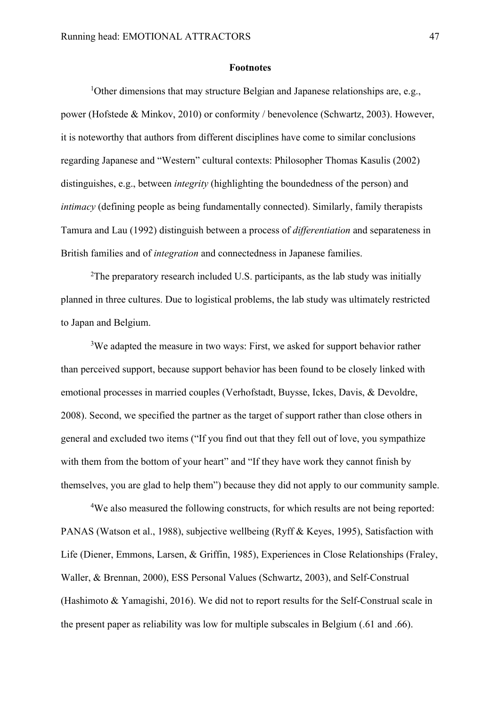#### **Footnotes**

<sup>1</sup>Other dimensions that may structure Belgian and Japanese relationships are, e.g., power (Hofstede & Minkov, 2010) or conformity / benevolence (Schwartz, 2003). However, it is noteworthy that authors from different disciplines have come to similar conclusions regarding Japanese and "Western" cultural contexts: Philosopher Thomas Kasulis (2002) distinguishes, e.g., between *integrity* (highlighting the boundedness of the person) and *intimacy* (defining people as being fundamentally connected). Similarly, family therapists Tamura and Lau (1992) distinguish between a process of *differentiation* and separateness in British families and of *integration* and connectedness in Japanese families.

<sup>2</sup>The preparatory research included U.S. participants, as the lab study was initially planned in three cultures. Due to logistical problems, the lab study was ultimately restricted to Japan and Belgium.

<sup>3</sup>We adapted the measure in two ways: First, we asked for support behavior rather than perceived support, because support behavior has been found to be closely linked with emotional processes in married couples (Verhofstadt, Buysse, Ickes, Davis, & Devoldre, 2008). Second, we specified the partner as the target of support rather than close others in general and excluded two items ("If you find out that they fell out of love, you sympathize with them from the bottom of your heart" and "If they have work they cannot finish by themselves, you are glad to help them") because they did not apply to our community sample.

<sup>4</sup>We also measured the following constructs, for which results are not being reported: PANAS (Watson et al., 1988), subjective wellbeing (Ryff & Keyes, 1995), Satisfaction with Life (Diener, Emmons, Larsen, & Griffin, 1985), Experiences in Close Relationships (Fraley, Waller, & Brennan, 2000), ESS Personal Values (Schwartz, 2003), and Self-Construal (Hashimoto & Yamagishi, 2016). We did not to report results for the Self-Construal scale in the present paper as reliability was low for multiple subscales in Belgium (.61 and .66).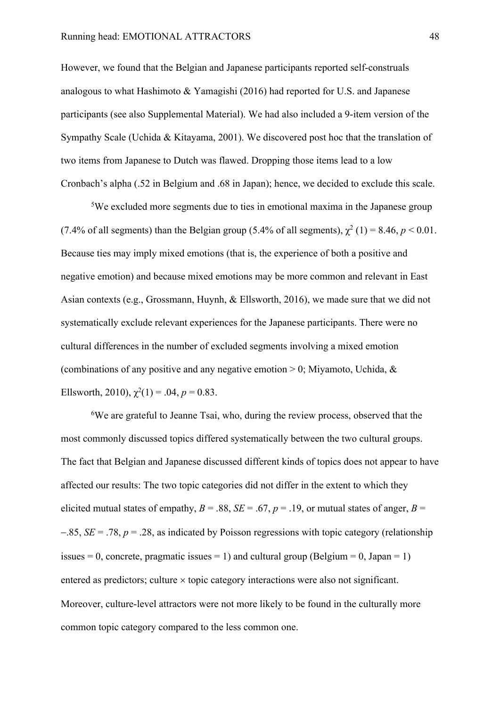However, we found that the Belgian and Japanese participants reported self-construals analogous to what Hashimoto & Yamagishi (2016) had reported for U.S. and Japanese participants (see also Supplemental Material). We had also included a 9-item version of the Sympathy Scale (Uchida & Kitayama, 2001). We discovered post hoc that the translation of two items from Japanese to Dutch was flawed. Dropping those items lead to a low Cronbach's alpha (.52 in Belgium and .68 in Japan); hence, we decided to exclude this scale.

<sup>5</sup>We excluded more segments due to ties in emotional maxima in the Japanese group (7.4% of all segments) than the Belgian group (5.4% of all segments),  $\chi^2$  (1) = 8.46, *p* < 0.01. Because ties may imply mixed emotions (that is, the experience of both a positive and negative emotion) and because mixed emotions may be more common and relevant in East Asian contexts (e.g., Grossmann, Huynh, & Ellsworth, 2016), we made sure that we did not systematically exclude relevant experiences for the Japanese participants. There were no cultural differences in the number of excluded segments involving a mixed emotion (combinations of any positive and any negative emotion  $> 0$ ; Miyamoto, Uchida, & Ellsworth, 2010),  $\chi^2(1) = .04$ ,  $p = 0.83$ .

<sup>6</sup>We are grateful to Jeanne Tsai, who, during the review process, observed that the most commonly discussed topics differed systematically between the two cultural groups. The fact that Belgian and Japanese discussed different kinds of topics does not appear to have affected our results: The two topic categories did not differ in the extent to which they elicited mutual states of empathy,  $B = .88$ ,  $SE = .67$ ,  $p = .19$ , or mutual states of anger,  $B =$ -.85, *SE* = .78, *p* = .28, as indicated by Poisson regressions with topic category (relationship issues = 0, concrete, pragmatic issues = 1) and cultural group (Belgium = 0, Japan = 1) entered as predictors; culture  $\times$  topic category interactions were also not significant. Moreover, culture-level attractors were not more likely to be found in the culturally more common topic category compared to the less common one.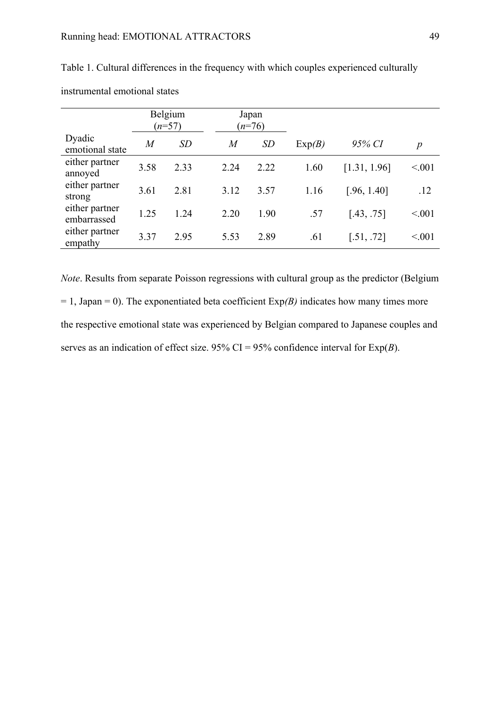|                               | Belgium<br>$(n=57)$ |      |                | Japan<br>$(n=76)$ |        |              |                  |
|-------------------------------|---------------------|------|----------------|-------------------|--------|--------------|------------------|
| Dyadic<br>emotional state     | $\overline{M}$      | SD   | $\overline{M}$ | SD                | Exp(B) | 95% CI       | $\boldsymbol{p}$ |
| either partner<br>annoyed     | 3.58                | 2.33 | 2.24           | 2.22              | 1.60   | [1.31, 1.96] | < 0.001          |
| either partner<br>strong      | 3.61                | 2.81 | 3.12           | 3.57              | 1.16   | [.96, 1.40]  | .12              |
| either partner<br>embarrassed | 1.25                | 1.24 | 2.20           | 1.90              | .57    | [.43, .75]   | < 0.001          |
| either partner<br>empathy     | 3.37                | 2.95 | 5.53           | 2.89              | .61    | [.51, .72]   | < 0.001          |

Table 1. Cultural differences in the frequency with which couples experienced culturally

instrumental emotional states

*Note*. Results from separate Poisson regressions with cultural group as the predictor (Belgium  $= 1$ , Japan  $= 0$ ). The exponentiated beta coefficient  $Exp(B)$  indicates how many times more the respective emotional state was experienced by Belgian compared to Japanese couples and serves as an indication of effect size. 95% CI = 95% confidence interval for  $Exp(B)$ .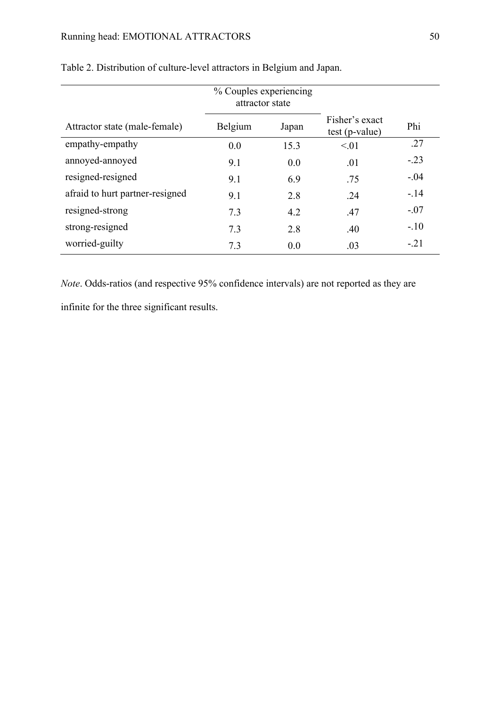|                                 | % Couples experiencing<br>attractor state |       |                                    |        |
|---------------------------------|-------------------------------------------|-------|------------------------------------|--------|
| Attractor state (male-female)   | Belgium                                   | Japan | Fisher's exact<br>$test (p-value)$ | Phi    |
| empathy-empathy                 | 0.0                                       | 15.3  | < 01                               | .27    |
| annoyed-annoyed                 | 9.1                                       | 0.0   | .01                                | $-.23$ |
| resigned-resigned               | 9.1                                       | 6.9   | .75                                | $-.04$ |
| afraid to hurt partner-resigned | 9.1                                       | 2.8   | .24                                | $-.14$ |
| resigned-strong                 | 7.3                                       | 4.2   | .47                                | $-.07$ |
| strong-resigned                 | 7.3                                       | 2.8   | .40                                | $-.10$ |
| worried-guilty                  | 7.3                                       | 0.0   | .03                                | $-.21$ |

#### Table 2. Distribution of culture-level attractors in Belgium and Japan.

*Note*. Odds-ratios (and respective 95% confidence intervals) are not reported as they are

infinite for the three significant results.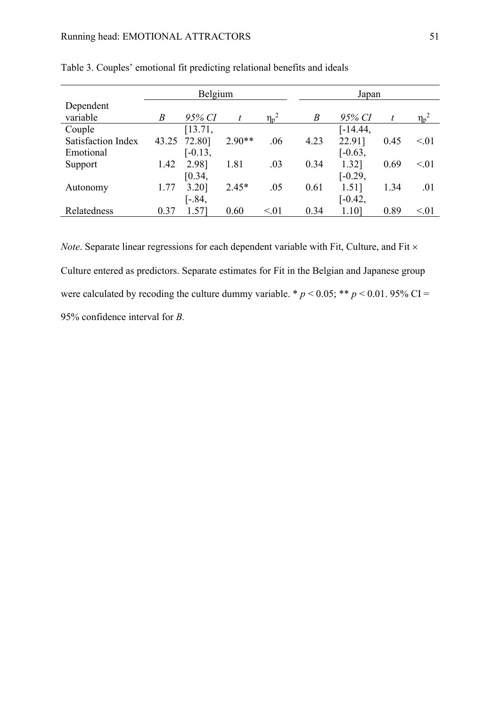|                           | Belgium          |           |          |            | Japan            |           |      |            |
|---------------------------|------------------|-----------|----------|------------|------------------|-----------|------|------------|
| Dependent                 |                  |           |          |            |                  |           |      |            |
| variable                  | $\boldsymbol{B}$ | 95% CI    | t        | $\eta_p^2$ | $\boldsymbol{B}$ | 95% CI    | t    | $\eta_p^2$ |
| Couple                    |                  | [13.71,   |          |            |                  | [-14.44,  |      |            |
| <b>Satisfaction Index</b> | 43.25            | 72.80]    | $2.90**$ | .06        | 4.23             | 22.91]    | 0.45 | < 01       |
| Emotional                 |                  | $[-0.13,$ |          |            |                  | $[-0.63,$ |      |            |
| Support                   | 1.42             | 2.98]     | 1.81     | .03        | 0.34             | 1.32]     | 0.69 | < 01       |
|                           |                  | [0.34,    |          |            |                  | $[-0.29,$ |      |            |
| Autonomy                  | 1.77             | 3.20]     | $2.45*$  | .05        | 0.61             | 1.51]     | 1.34 | .01        |
|                           |                  | $[-.84,$  |          |            |                  | $[-0.42,$ |      |            |
| Relatedness               | 0.37             | 1.57]     | 0.60     | < 01       | 0.34             | 1.101     | 0.89 | < 01       |

Table 3. Couples' emotional fit predicting relational benefits and ideals

*Note*. Separate linear regressions for each dependent variable with Fit, Culture, and Fit  $\times$ Culture entered as predictors. Separate estimates for Fit in the Belgian and Japanese group were calculated by recoding the culture dummy variable. \*  $p < 0.05$ ; \*\*  $p < 0.01$ . 95% CI = 95% confidence interval for *B.*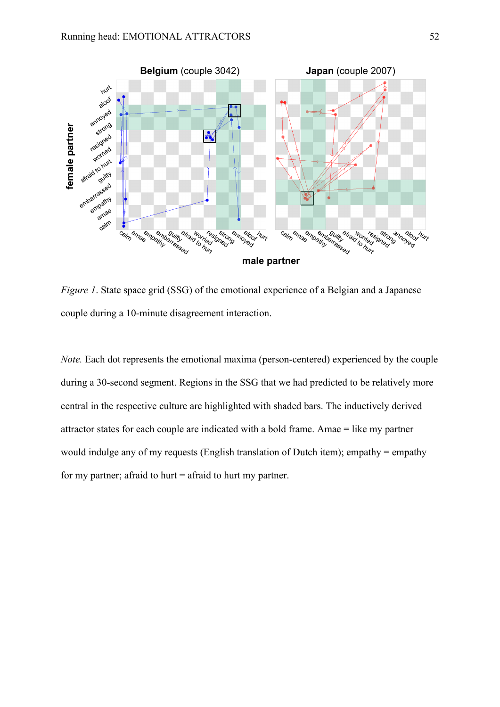

*Figure 1*. State space grid (SSG) of the emotional experience of a Belgian and a Japanese couple during a 10-minute disagreement interaction.

*Note.* Each dot represents the emotional maxima (person-centered) experienced by the couple during a 30-second segment. Regions in the SSG that we had predicted to be relatively more central in the respective culture are highlighted with shaded bars. The inductively derived attractor states for each couple are indicated with a bold frame. Amae = like my partner would indulge any of my requests (English translation of Dutch item); empathy = empathy